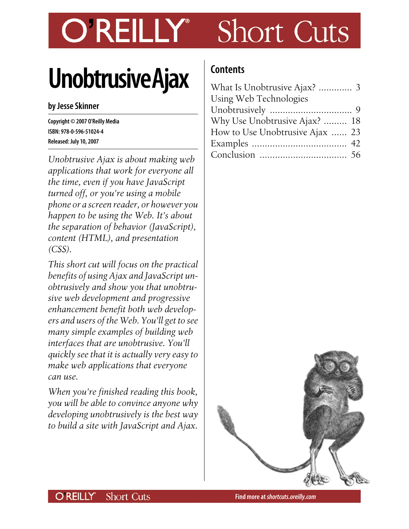# Short Cuts **OREILLY**

# **Unobtrusive Ajax**

#### **by Jesse Skinner**

**Copyright © 2007 O'Reilly Media ISBN: 978-0-596-51024-4 Released: July 10, 2007**

*Unobtrusive Ajax is about making web applications that work for everyone all the time, even if you have JavaScript turned off, or you're using a mobile phone or a screen reader, or however you happen to be using the Web. It's about the separation of behavior (JavaScript), content (HTML), and presentation (CSS).*

*This short cut will focus on the practical benefits of using Ajax and JavaScript unobtrusively and show you that unobtrusive web development and progressive enhancement benefit both web developers and users of the Web. You'll get to see many simple examples of building web interfaces that are unobtrusive. You'll quickly see that it is actually very easy to make web applications that everyone can use.*

*When you're finished reading this book, you will be able to convince anyone why developing unobtrusively is the best way to build a site with JavaScript and Ajax.*

# **Contents**

| What Is Unobtrusive Ajax?  3    |  |
|---------------------------------|--|
| Using Web Technologies          |  |
|                                 |  |
| Why Use Unobtrusive Ajax?  18   |  |
| How to Use Unobtrusive Ajax  23 |  |
|                                 |  |
|                                 |  |

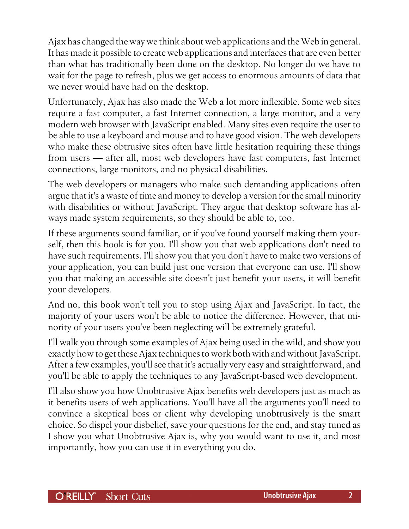Ajax has changed the way we think about web applications and the Web in general. It has made it possible to create web applications and interfaces that are even better than what has traditionally been done on the desktop. No longer do we have to wait for the page to refresh, plus we get access to enormous amounts of data that we never would have had on the desktop.

Unfortunately, Ajax has also made the Web a lot more inflexible. Some web sites require a fast computer, a fast Internet connection, a large monitor, and a very modern web browser with JavaScript enabled. Many sites even require the user to be able to use a keyboard and mouse and to have good vision. The web developers who make these obtrusive sites often have little hesitation requiring these things from users — after all, most web developers have fast computers, fast Internet connections, large monitors, and no physical disabilities.

The web developers or managers who make such demanding applications often argue that it's a waste of time and money to develop a version for the small minority with disabilities or without JavaScript. They argue that desktop software has always made system requirements, so they should be able to, too.

If these arguments sound familiar, or if you've found yourself making them yourself, then this book is for you. I'll show you that web applications don't need to have such requirements. I'll show you that you don't have to make two versions of your application, you can build just one version that everyone can use. I'll show you that making an accessible site doesn't just benefit your users, it will benefit your developers.

And no, this book won't tell you to stop using Ajax and JavaScript. In fact, the majority of your users won't be able to notice the difference. However, that minority of your users you've been neglecting will be extremely grateful.

I'll walk you through some examples of Ajax being used in the wild, and show you exactly how to get these Ajax techniques to work both with and without JavaScript. After a few examples, you'll see that it's actually very easy and straightforward, and you'll be able to apply the techniques to any JavaScript-based web development.

I'll also show you how Unobtrusive Ajax benefits web developers just as much as it benefits users of web applications. You'll have all the arguments you'll need to convince a skeptical boss or client why developing unobtrusively is the smart choice. So dispel your disbelief, save your questions for the end, and stay tuned as I show you what Unobtrusive Ajax is, why you would want to use it, and most importantly, how you can use it in everything you do.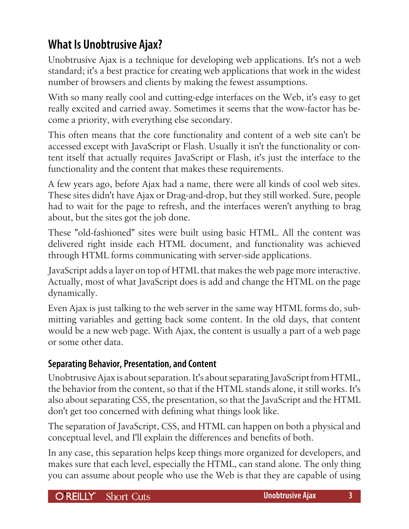# <span id="page-2-0"></span>**What Is Unobtrusive Ajax?**

Unobtrusive Ajax is a technique for developing web applications. It's not a web standard; it's a best practice for creating web applications that work in the widest number of browsers and clients by making the fewest assumptions.

With so many really cool and cutting-edge interfaces on the Web, it's easy to get really excited and carried away. Sometimes it seems that the wow-factor has become a priority, with everything else secondary.

This often means that the core functionality and content of a web site can't be accessed except with JavaScript or Flash. Usually it isn't the functionality or content itself that actually requires JavaScript or Flash, it's just the interface to the functionality and the content that makes these requirements.

A few years ago, before Ajax had a name, there were all kinds of cool web sites. These sites didn't have Ajax or Drag-and-drop, but they still worked. Sure, people had to wait for the page to refresh, and the interfaces weren't anything to brag about, but the sites got the job done.

These "old-fashioned" sites were built using basic HTML. All the content was delivered right inside each HTML document, and functionality was achieved through HTML forms communicating with server-side applications.

JavaScript adds a layer on top of HTML that makes the web page more interactive. Actually, most of what JavaScript does is add and change the HTML on the page dynamically.

Even Ajax is just talking to the web server in the same way HTML forms do, submitting variables and getting back some content. In the old days, that content would be a new web page. With Ajax, the content is usually a part of a web page or some other data.

# **Separating Behavior, Presentation, and Content**

Unobtrusive Ajax is about separation. It's about separating JavaScript from HTML, the behavior from the content, so that if the HTML stands alone, it still works. It's also about separating CSS, the presentation, so that the JavaScript and the HTML don't get too concerned with defining what things look like.

The separation of JavaScript, CSS, and HTML can happen on both a physical and conceptual level, and I'll explain the differences and benefits of both.

In any case, this separation helps keep things more organized for developers, and makes sure that each level, especially the HTML, can stand alone. The only thing you can assume about people who use the Web is that they are capable of using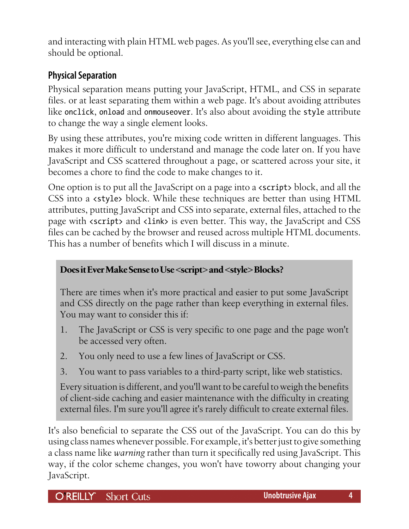and interacting with plain HTML web pages. As you'll see, everything else can and should be optional.

# **Physical Separation**

Physical separation means putting your JavaScript, HTML, and CSS in separate files. or at least separating them within a web page. It's about avoiding attributes like onclick, onload and onmouseover. It's also about avoiding the style attribute to change the way a single element looks.

By using these attributes, you're mixing code written in different languages. This makes it more difficult to understand and manage the code later on. If you have JavaScript and CSS scattered throughout a page, or scattered across your site, it becomes a chore to find the code to make changes to it.

One option is to put all the JavaScript on a page into a <script> block, and all the CSS into a <style> block. While these techniques are better than using HTML attributes, putting JavaScript and CSS into separate, external files, attached to the page with <script> and <link> is even better. This way, the JavaScript and CSS files can be cached by the browser and reused across multiple HTML documents. This has a number of benefits which I will discuss in a minute.

# **Does it Ever Make Sense to Use <script> and <style> Blocks?**

There are times when it's more practical and easier to put some JavaScript and CSS directly on the page rather than keep everything in external files. You may want to consider this if:

- 1. The JavaScript or CSS is very specific to one page and the page won't be accessed very often.
- 2. You only need to use a few lines of JavaScript or CSS.
- 3. You want to pass variables to a third-party script, like web statistics.

Every situation is different, and you'll want to be careful to weigh the benefits of client-side caching and easier maintenance with the difficulty in creating external files. I'm sure you'll agree it's rarely difficult to create external files.

It's also beneficial to separate the CSS out of the JavaScript. You can do this by using class names whenever possible. For example, it's better just to give something a class name like *warning* rather than turn it specifically red using JavaScript. This way, if the color scheme changes, you won't have toworry about changing your JavaScript.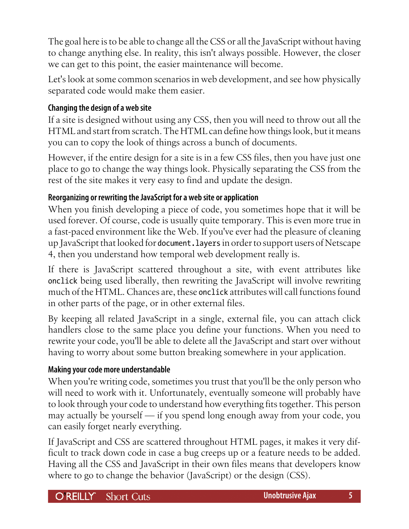The goal here is to be able to change all the CSS or all the JavaScript without having to change anything else. In reality, this isn't always possible. However, the closer we can get to this point, the easier maintenance will become.

Let's look at some common scenarios in web development, and see how physically separated code would make them easier.

#### **Changing the design of a web site**

If a site is designed without using any CSS, then you will need to throw out all the HTML and start from scratch. The HTML can define how things look, but it means you can to copy the look of things across a bunch of documents.

However, if the entire design for a site is in a few CSS files, then you have just one place to go to change the way things look. Physically separating the CSS from the rest of the site makes it very easy to find and update the design.

#### **Reorganizing or rewriting the JavaScript for a web site or application**

When you finish developing a piece of code, you sometimes hope that it will be used forever. Of course, code is usually quite temporary. This is even more true in a fast-paced environment like the Web. If you've ever had the pleasure of cleaning up JavaScript that looked for document.layers in order to support users of Netscape 4, then you understand how temporal web development really is.

If there is JavaScript scattered throughout a site, with event attributes like onclick being used liberally, then rewriting the JavaScript will involve rewriting much of the HTML. Chances are, these onclick attributes will call functions found in other parts of the page, or in other external files.

By keeping all related JavaScript in a single, external file, you can attach click handlers close to the same place you define your functions. When you need to rewrite your code, you'll be able to delete all the JavaScript and start over without having to worry about some button breaking somewhere in your application.

#### **Making your code more understandable**

When you're writing code, sometimes you trust that you'll be the only person who will need to work with it. Unfortunately, eventually someone will probably have to look through your code to understand how everything fits together. This person may actually be yourself — if you spend long enough away from your code, you can easily forget nearly everything.

If JavaScript and CSS are scattered throughout HTML pages, it makes it very difficult to track down code in case a bug creeps up or a feature needs to be added. Having all the CSS and JavaScript in their own files means that developers know where to go to change the behavior (JavaScript) or the design (CSS).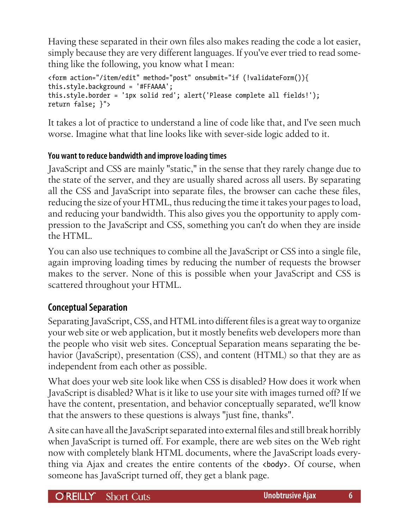Having these separated in their own files also makes reading the code a lot easier, simply because they are very different languages. If you've ever tried to read something like the following, you know what I mean:

```
<form action="/item/edit" method="post" onsubmit="if (!validateForm()){
this.style.background = '#FFAAAA';
this.style.border = '1px solid red'; alert('Please complete all fields!');
return false; }">
```
It takes a lot of practice to understand a line of code like that, and I've seen much worse. Imagine what that line looks like with sever-side logic added to it.

# **You want to reduce bandwidth and improve loading times**

JavaScript and CSS are mainly "static," in the sense that they rarely change due to the state of the server, and they are usually shared across all users. By separating all the CSS and JavaScript into separate files, the browser can cache these files, reducing the size of your HTML, thus reducing the time it takes your pages to load, and reducing your bandwidth. This also gives you the opportunity to apply compression to the JavaScript and CSS, something you can't do when they are inside the HTML.

You can also use techniques to combine all the JavaScript or CSS into a single file, again improving loading times by reducing the number of requests the browser makes to the server. None of this is possible when your JavaScript and CSS is scattered throughout your HTML.

# **Conceptual Separation**

Separating JavaScript, CSS, and HTML into different files is a great way to organize your web site or web application, but it mostly benefits web developers more than the people who visit web sites. Conceptual Separation means separating the behavior (JavaScript), presentation (CSS), and content (HTML) so that they are as independent from each other as possible.

What does your web site look like when CSS is disabled? How does it work when JavaScript is disabled? What is it like to use your site with images turned off? If we have the content, presentation, and behavior conceptually separated, we'll know that the answers to these questions is always "just fine, thanks".

A site can have all the JavaScript separated into external files and still break horribly when JavaScript is turned off. For example, there are web sites on the Web right now with completely blank HTML documents, where the JavaScript loads everything via Ajax and creates the entire contents of the <br/>body>. Of course, when someone has JavaScript turned off, they get a blank page.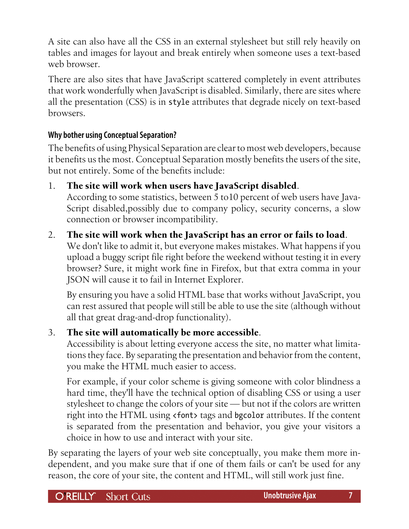A site can also have all the CSS in an external stylesheet but still rely heavily on tables and images for layout and break entirely when someone uses a text-based web browser.

There are also sites that have JavaScript scattered completely in event attributes that work wonderfully when JavaScript is disabled. Similarly, there are sites where all the presentation (CSS) is in style attributes that degrade nicely on text-based browsers.

# **Why bother using Conceptual Separation?**

The benefits of using Physical Separation are clear to most web developers, because it benefits us the most. Conceptual Separation mostly benefits the users of the site, but not entirely. Some of the benefits include:

# 1. **The site will work when users have JavaScript disabled**.

According to some statistics, between 5 to10 percent of web users have Java-Script disabled,possibly due to company policy, security concerns, a slow connection or browser incompatibility.

# 2. **The site will work when the JavaScript has an error or fails to load**.

We don't like to admit it, but everyone makes mistakes. What happens if you upload a buggy script file right before the weekend without testing it in every browser? Sure, it might work fine in Firefox, but that extra comma in your JSON will cause it to fail in Internet Explorer.

By ensuring you have a solid HTML base that works without JavaScript, you can rest assured that people will still be able to use the site (although without all that great drag-and-drop functionality).

# 3. **The site will automatically be more accessible**.

Accessibility is about letting everyone access the site, no matter what limitations they face. By separating the presentation and behavior from the content, you make the HTML much easier to access.

For example, if your color scheme is giving someone with color blindness a hard time, they'll have the technical option of disabling CSS or using a user stylesheet to change the colors of your site — but not if the colors are written right into the HTML using <font> tags and bgcolor attributes. If the content is separated from the presentation and behavior, you give your visitors a choice in how to use and interact with your site.

By separating the layers of your web site conceptually, you make them more independent, and you make sure that if one of them fails or can't be used for any reason, the core of your site, the content and HTML, will still work just fine.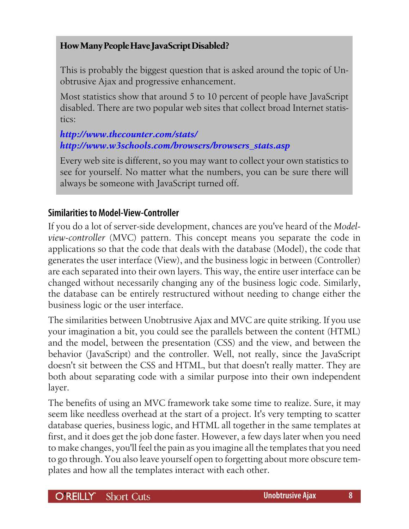#### **How Many People Have JavaScript Disabled?**

This is probably the biggest question that is asked around the topic of Unobtrusive Ajax and progressive enhancement.

Most statistics show that around 5 to 10 percent of people have JavaScript disabled. There are two popular web sites that collect broad Internet statistics:

#### *<http://www.thecounter.com/stats/> [http://www.w3schools.com/browsers/browsers\\_stats.asp](http://www.w3schools.com/browsers/browsers_stats.asp)*

Every web site is different, so you may want to collect your own statistics to see for yourself. No matter what the numbers, you can be sure there will always be someone with JavaScript turned off.

#### **Similarities to Model-View-Controller**

If you do a lot of server-side development, chances are you've heard of the *Modelview-controller* (MVC) pattern. This concept means you separate the code in applications so that the code that deals with the database (Model), the code that generates the user interface (View), and the business logic in between (Controller) are each separated into their own layers. This way, the entire user interface can be changed without necessarily changing any of the business logic code. Similarly, the database can be entirely restructured without needing to change either the business logic or the user interface.

The similarities between Unobtrusive Ajax and MVC are quite striking. If you use your imagination a bit, you could see the parallels between the content (HTML) and the model, between the presentation (CSS) and the view, and between the behavior (JavaScript) and the controller. Well, not really, since the JavaScript doesn't sit between the CSS and HTML, but that doesn't really matter. They are both about separating code with a similar purpose into their own independent layer.

The benefits of using an MVC framework take some time to realize. Sure, it may seem like needless overhead at the start of a project. It's very tempting to scatter database queries, business logic, and HTML all together in the same templates at first, and it does get the job done faster. However, a few days later when you need to make changes, you'll feel the pain as you imagine all the templates that you need to go through. You also leave yourself open to forgetting about more obscure templates and how all the templates interact with each other.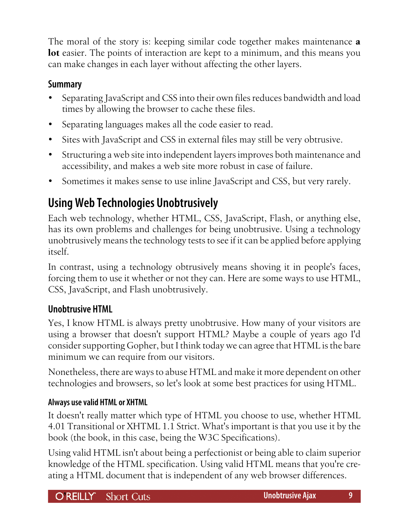<span id="page-8-0"></span>The moral of the story is: keeping similar code together makes maintenance **a lot** easier. The points of interaction are kept to a minimum, and this means you can make changes in each layer without affecting the other layers.

# **Summary**

- Separating JavaScript and CSS into their own files reduces bandwidth and load times by allowing the browser to cache these files.
- Separating languages makes all the code easier to read.
- Sites with JavaScript and CSS in external files may still be very obtrusive.
- Structuring a web site into independent layers improves both maintenance and accessibility, and makes a web site more robust in case of failure.
- Sometimes it makes sense to use inline JavaScript and CSS, but very rarely.

# **Using Web Technologies Unobtrusively**

Each web technology, whether HTML, CSS, JavaScript, Flash, or anything else, has its own problems and challenges for being unobtrusive. Using a technology unobtrusively means the technology tests to see if it can be applied before applying itself.

In contrast, using a technology obtrusively means shoving it in people's faces, forcing them to use it whether or not they can. Here are some ways to use HTML, CSS, JavaScript, and Flash unobtrusively.

# **Unobtrusive HTML**

Yes, I know HTML is always pretty unobtrusive. How many of your visitors are using a browser that doesn't support HTML? Maybe a couple of years ago I'd consider supporting Gopher, but I think today we can agree that HTML is the bare minimum we can require from our visitors.

Nonetheless, there are ways to abuse HTML and make it more dependent on other technologies and browsers, so let's look at some best practices for using HTML.

# **Always use valid HTML or XHTML**

It doesn't really matter which type of HTML you choose to use, whether HTML 4.01 Transitional or XHTML 1.1 Strict. What's important is that you use it by the book (the book, in this case, being the W3C Specifications).

Using valid HTML isn't about being a perfectionist or being able to claim superior knowledge of the HTML specification. Using valid HTML means that you're creating a HTML document that is independent of any web browser differences.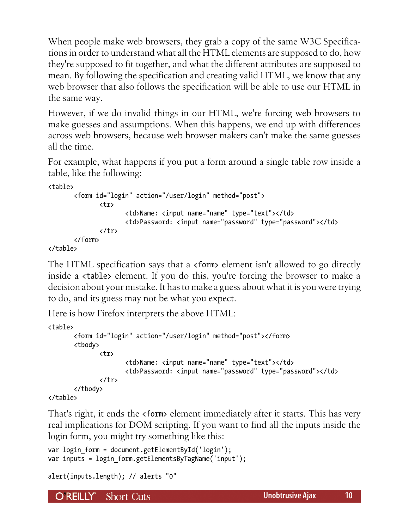When people make web browsers, they grab a copy of the same W3C Specifications in order to understand what all the HTML elements are supposed to do, how they're supposed to fit together, and what the different attributes are supposed to mean. By following the specification and creating valid HTML, we know that any web browser that also follows the specification will be able to use our HTML in the same way.

However, if we do invalid things in our HTML, we're forcing web browsers to make guesses and assumptions. When this happens, we end up with differences across web browsers, because web browser makers can't make the same guesses all the time.

For example, what happens if you put a form around a single table row inside a table, like the following:

<table>

```
 <form id="login" action="/user/login" method="post">
               <tr>
                       <td>Name: <input name="name" type="text"></td>
                       <td>Password: <input name="password" type="password"></td>
               </tr>
        </form>
</table>
```
The HTML specification says that a <form> element isn't allowed to go directly inside a <table> element. If you do this, you're forcing the browser to make a decision about your mistake. It has to make a guess about what it is you were trying to do, and its guess may not be what you expect.

Here is how Firefox interprets the above HTML:

```
<table>
        <form id="login" action="/user/login" method="post"></form>
        <tbody>
               <tr>
                       <td>Name: <input name="name" type="text"></td>
                       <td>Password: <input name="password" type="password"></td>
               </tr>
        </tbody>
</table>
```
That's right, it ends the <form> element immediately after it starts. This has very real implications for DOM scripting. If you want to find all the inputs inside the login form, you might try something like this:

```
var login form = document.getElementById('login');
var inputs = login form.getElementsByTagName('input');
```

```
alert(inputs.length); // alerts "0"
```
O REILLY" **Short Cuts**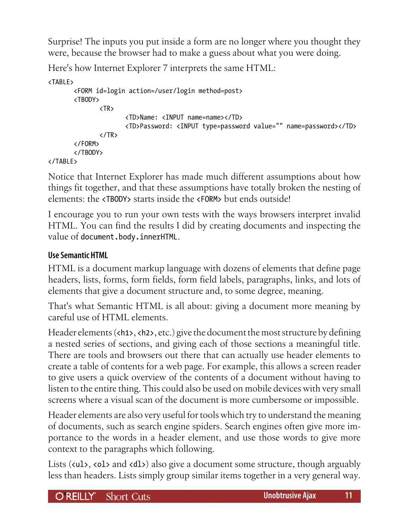Surprise! The inputs you put inside a form are no longer where you thought they were, because the browser had to make a guess about what you were doing.

Here's how Internet Explorer 7 interprets the same HTML:

```
<TABLE>
         <FORM id=login action=/user/login method=post>
         <TBODY>
                <TR>
                        <TD>Name: <INPUT name=name></TD>
                        <TD>Password: <INPUT type=password value="" name=password></TD>
               \langle/TR\rangle </FORM>
         </TBODY>
</TABLE>
```
Notice that Internet Explorer has made much different assumptions about how things fit together, and that these assumptions have totally broken the nesting of elements: the <TBODY> starts inside the <FORM> but ends outside!

I encourage you to run your own tests with the ways browsers interpret invalid HTML. You can find the results I did by creating documents and inspecting the value of document.body.innerHTML.

# **Use Semantic HTML**

HTML is a document markup language with dozens of elements that define page headers, lists, forms, form fields, form field labels, paragraphs, links, and lots of elements that give a document structure and, to some degree, meaning.

That's what Semantic HTML is all about: giving a document more meaning by careful use of HTML elements.

Header elements (<h1>, <h2>, etc.) give the document the most structure by defining a nested series of sections, and giving each of those sections a meaningful title. There are tools and browsers out there that can actually use header elements to create a table of contents for a web page. For example, this allows a screen reader to give users a quick overview of the contents of a document without having to listen to the entire thing. This could also be used on mobile devices with very small screens where a visual scan of the document is more cumbersome or impossible.

Header elements are also very useful for tools which try to understand the meaning of documents, such as search engine spiders. Search engines often give more importance to the words in a header element, and use those words to give more context to the paragraphs which following.

Lists (<ul>, <ol> and <dl>) also give a document some structure, though arguably less than headers. Lists simply group similar items together in a very general way.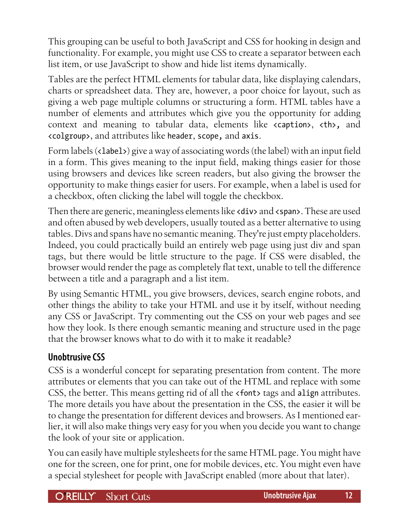This grouping can be useful to both JavaScript and CSS for hooking in design and functionality. For example, you might use CSS to create a separator between each list item, or use JavaScript to show and hide list items dynamically.

Tables are the perfect HTML elements for tabular data, like displaying calendars, charts or spreadsheet data. They are, however, a poor choice for layout, such as giving a web page multiple columns or structuring a form. HTML tables have a number of elements and attributes which give you the opportunity for adding context and meaning to tabular data, elements like <caption>, <th>, and <colgroup>, and attributes like header, scope, and axis.

Form labels (<label>) give a way of associating words (the label) with an input field in a form. This gives meaning to the input field, making things easier for those using browsers and devices like screen readers, but also giving the browser the opportunity to make things easier for users. For example, when a label is used for a checkbox, often clicking the label will toggle the checkbox.

Then there are generic, meaningless elements like <div> and <span>. These are used and often abused by web developers, usually touted as a better alternative to using tables. Divs and spans have no semantic meaning. They're just empty placeholders. Indeed, you could practically build an entirely web page using just div and span tags, but there would be little structure to the page. If CSS were disabled, the browser would render the page as completely flat text, unable to tell the difference between a title and a paragraph and a list item.

By using Semantic HTML, you give browsers, devices, search engine robots, and other things the ability to take your HTML and use it by itself, without needing any CSS or JavaScript. Try commenting out the CSS on your web pages and see how they look. Is there enough semantic meaning and structure used in the page that the browser knows what to do with it to make it readable?

# **Unobtrusive CSS**

CSS is a wonderful concept for separating presentation from content. The more attributes or elements that you can take out of the HTML and replace with some CSS, the better. This means getting rid of all the <font> tags and align attributes. The more details you have about the presentation in the CSS, the easier it will be to change the presentation for different devices and browsers. As I mentioned earlier, it will also make things very easy for you when you decide you want to change the look of your site or application.

You can easily have multiple stylesheets for the same HTML page. You might have one for the screen, one for print, one for mobile devices, etc. You might even have a special stylesheet for people with JavaScript enabled (more about that later).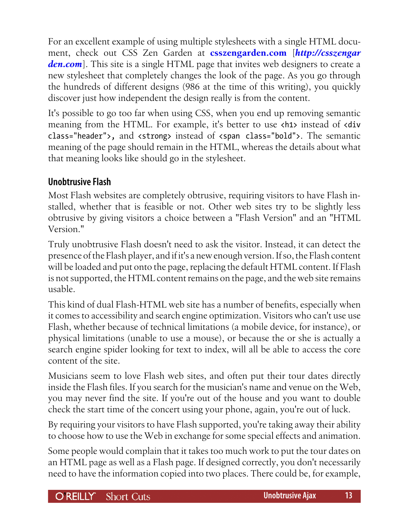For an excellent example of using multiple stylesheets with a single HTML document, check out CSS Zen Garden at **[csszengarden.com](http://csszengarden.com)** [*[http://csszengar](http://csszengarden.com) [den.com](http://csszengarden.com)*]. This site is a single HTML page that invites web designers to create a new stylesheet that completely changes the look of the page. As you go through the hundreds of different designs (986 at the time of this writing), you quickly discover just how independent the design really is from the content.

It's possible to go too far when using CSS, when you end up removing semantic meaning from the HTML. For example, it's better to use <h1> instead of <div class="header">, and <strong> instead of <span class="bold">. The semantic meaning of the page should remain in the HTML, whereas the details about what that meaning looks like should go in the stylesheet.

# **Unobtrusive Flash**

Most Flash websites are completely obtrusive, requiring visitors to have Flash installed, whether that is feasible or not. Other web sites try to be slightly less obtrusive by giving visitors a choice between a "Flash Version" and an "HTML Version."

Truly unobtrusive Flash doesn't need to ask the visitor. Instead, it can detect the presence of the Flash player, and if it's a new enough version. If so, the Flash content will be loaded and put onto the page, replacing the default HTML content. If Flash is not supported, the HTML content remains on the page, and the web site remains usable.

This kind of dual Flash-HTML web site has a number of benefits, especially when it comes to accessibility and search engine optimization. Visitors who can't use use Flash, whether because of technical limitations (a mobile device, for instance), or physical limitations (unable to use a mouse), or because the or she is actually a search engine spider looking for text to index, will all be able to access the core content of the site.

Musicians seem to love Flash web sites, and often put their tour dates directly inside the Flash files. If you search for the musician's name and venue on the Web, you may never find the site. If you're out of the house and you want to double check the start time of the concert using your phone, again, you're out of luck.

By requiring your visitors to have Flash supported, you're taking away their ability to choose how to use the Web in exchange for some special effects and animation.

Some people would complain that it takes too much work to put the tour dates on an HTML page as well as a Flash page. If designed correctly, you don't necessarily need to have the information copied into two places. There could be, for example,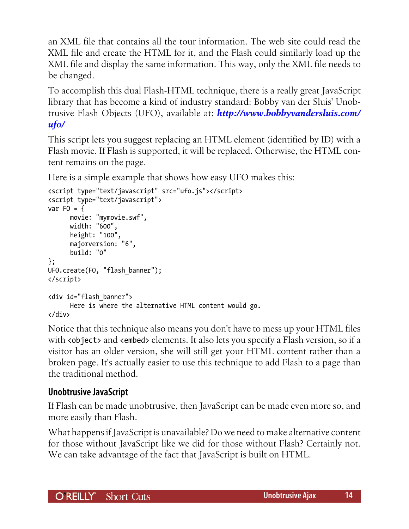an XML file that contains all the tour information. The web site could read the XML file and create the HTML for it, and the Flash could similarly load up the XML file and display the same information. This way, only the XML file needs to be changed.

To accomplish this dual Flash-HTML technique, there is a really great JavaScript library that has become a kind of industry standard: Bobby van der Sluis' Unobtrusive Flash Objects (UFO), available at: *[http://www.bobbyvandersluis.com/](http://www.bobbyvandersluis.com/ufo/) [ufo/](http://www.bobbyvandersluis.com/ufo/)*

This script lets you suggest replacing an HTML element (identified by ID) with a Flash movie. If Flash is supported, it will be replaced. Otherwise, the HTML content remains on the page.

Here is a simple example that shows how easy UFO makes this:

```
<script type="text/javascript" src="ufo.js"></script>
<script type="text/javascript">
var FO = \{ movie: "mymovie.swf",
       width: "600",
       height: "100",
       majorversion: "6",
       build: "0"
};
UFO.create(FO, "flash_banner");
</script>
<div id="flash_banner">
       Here is where the alternative HTML content would go.
</div>
```
Notice that this technique also means you don't have to mess up your HTML files with <object> and <embed> elements. It also lets you specify a Flash version, so if a visitor has an older version, she will still get your HTML content rather than a broken page. It's actually easier to use this technique to add Flash to a page than the traditional method.

# **Unobtrusive JavaScript**

If Flash can be made unobtrusive, then JavaScript can be made even more so, and more easily than Flash.

What happens if JavaScript is unavailable? Do we need to make alternative content for those without JavaScript like we did for those without Flash? Certainly not. We can take advantage of the fact that JavaScript is built on HTML.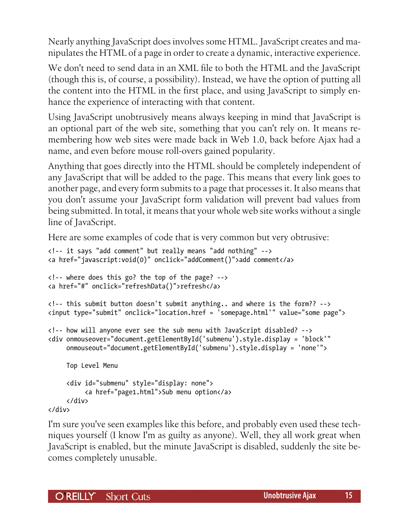Nearly anything JavaScript does involves some HTML. JavaScript creates and manipulates the HTML of a page in order to create a dynamic, interactive experience.

We don't need to send data in an XML file to both the HTML and the JavaScript (though this is, of course, a possibility). Instead, we have the option of putting all the content into the HTML in the first place, and using JavaScript to simply enhance the experience of interacting with that content.

Using JavaScript unobtrusively means always keeping in mind that JavaScript is an optional part of the web site, something that you can't rely on. It means remembering how web sites were made back in Web 1.0, back before Ajax had a name, and even before mouse roll-overs gained popularity.

Anything that goes directly into the HTML should be completely independent of any JavaScript that will be added to the page. This means that every link goes to another page, and every form submits to a page that processes it. It also means that you don't assume your JavaScript form validation will prevent bad values from being submitted. In total, it means that your whole web site works without a single line of JavaScript.

Here are some examples of code that is very common but very obtrusive:

```
<!-- it says "add comment" but really means "add nothing" -->
<a href="javascript:void(0)" onclick="addComment()">add comment</a>
<!-- where does this go? the top of the page? -->
<a href="#" onclick="refreshData()">refresh</a>
<!-- this submit button doesn't submit anything.. and where is the form?? -->
<input type="submit" onclick="location.href = 'somepage.html'" value="some page">
<!-- how will anyone ever see the sub menu with JavaScript disabled? -->
<div onmouseover="document.getElementById('submenu').style.display = 'block'"
      onmouseout="document.getElementById('submenu').style.display = 'none'">
     Top Level Menu
      <div id="submenu" style="display: none">
           <a href="page1.html">Sub menu option</a>
      </div>
```

```
</div>
```
I'm sure you've seen examples like this before, and probably even used these techniques yourself (I know I'm as guilty as anyone). Well, they all work great when JavaScript is enabled, but the minute JavaScript is disabled, suddenly the site becomes completely unusable.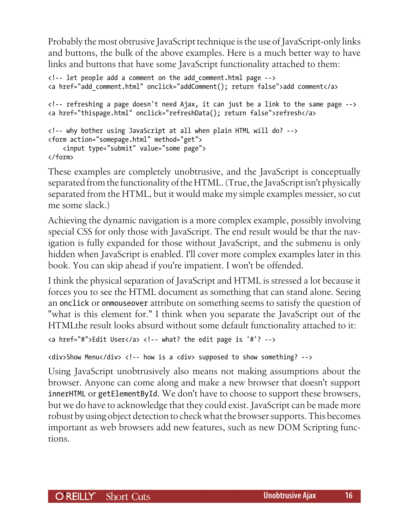Probably the most obtrusive JavaScript technique is the use of JavaScript-only links and buttons, the bulk of the above examples. Here is a much better way to have links and buttons that have some JavaScript functionality attached to them:

```
<!-- let people add a comment on the add_comment.html page -->
<a href="add_comment.html" onclick="addComment(); return false">add comment</a>
<!-- refreshing a page doesn't need Ajax, it can just be a link to the same page -->
<a href="thispage.html" onclick="refreshData(); return false">refresh</a>
<!-- why bother using JavaScript at all when plain HTML will do? -->
<form action="somepage.html" method="get">
     <input type="submit" value="some page">
</form>
```
These examples are completely unobtrusive, and the JavaScript is conceptually separated from the functionality of the HTML. (True, the JavaScript isn't physically separated from the HTML, but it would make my simple examples messier, so cut me some slack.)

Achieving the dynamic navigation is a more complex example, possibly involving special CSS for only those with JavaScript. The end result would be that the navigation is fully expanded for those without JavaScript, and the submenu is only hidden when JavaScript is enabled. I'll cover more complex examples later in this book. You can skip ahead if you're impatient. I won't be offended.

I think the physical separation of JavaScript and HTML is stressed a lot because it forces you to see the HTML document as something that can stand alone. Seeing an onclick or onmouseover attribute on something seems to satisfy the question of "what is this element for." I think when you separate the JavaScript out of the HTMLthe result looks absurd without some default functionality attached to it:

```
<a href="#">Edit User</a> <!-- what? the edit page is '#'? -->
```

```
<div>Show Menu</div> <!-- how is a <div> supposed to show something? -->
```
Using JavaScript unobtrusively also means not making assumptions about the browser. Anyone can come along and make a new browser that doesn't support innerHTML or getElementById. We don't have to choose to support these browsers, but we do have to acknowledge that they could exist. JavaScript can be made more robust by using object detection to check what the browser supports. This becomes important as web browsers add new features, such as new DOM Scripting functions.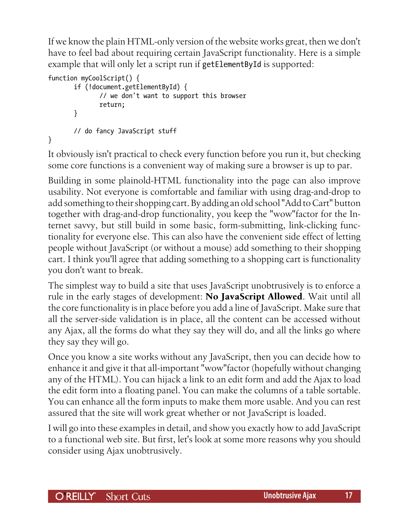If we know the plain HTML-only version of the website works great, then we don't have to feel bad about requiring certain JavaScript functionality. Here is a simple example that will only let a script run if getElementById is supported:

```
function myCoolScript() {
        if (!document.getElementById) {
                // we don't want to support this browser
                return;
        }
        // do fancy JavaScript stuff
}
```
It obviously isn't practical to check every function before you run it, but checking some core functions is a convenient way of making sure a browser is up to par.

Building in some plainold-HTML functionality into the page can also improve usability. Not everyone is comfortable and familiar with using drag-and-drop to add something to their shopping cart. By adding an old school "Add to Cart" button together with drag-and-drop functionality, you keep the "wow"factor for the Internet savvy, but still build in some basic, form-submitting, link-clicking functionality for everyone else. This can also have the convenient side effect of letting people without JavaScript (or without a mouse) add something to their shopping cart. I think you'll agree that adding something to a shopping cart is functionality you don't want to break.

The simplest way to build a site that uses JavaScript unobtrusively is to enforce a rule in the early stages of development: **No JavaScript Allowed**. Wait until all the core functionality is in place before you add a line of JavaScript. Make sure that all the server-side validation is in place, all the content can be accessed without any Ajax, all the forms do what they say they will do, and all the links go where they say they will go.

Once you know a site works without any JavaScript, then you can decide how to enhance it and give it that all-important "wow"factor (hopefully without changing any of the HTML). You can hijack a link to an edit form and add the Ajax to load the edit form into a floating panel. You can make the columns of a table sortable. You can enhance all the form inputs to make them more usable. And you can rest assured that the site will work great whether or not JavaScript is loaded.

I will go into these examples in detail, and show you exactly how to add JavaScript to a functional web site. But first, let's look at some more reasons why you should consider using Ajax unobtrusively.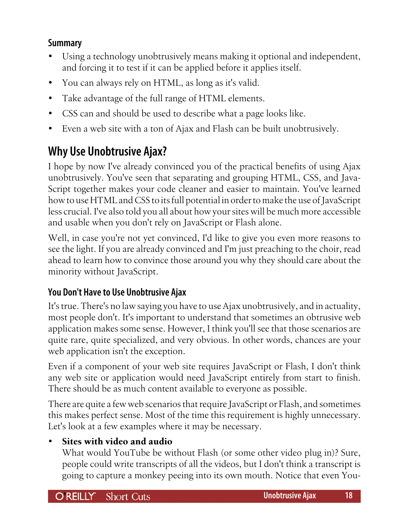# <span id="page-17-0"></span>**Summary**

- Using a technology unobtrusively means making it optional and independent, and forcing it to test if it can be applied before it applies itself.
- You can always rely on HTML, as long as it's valid.
- Take advantage of the full range of HTML elements.
- CSS can and should be used to describe what a page looks like.
- Even a web site with a ton of Ajax and Flash can be built unobtrusively.

# **Why Use Unobtrusive Ajax?**

I hope by now I've already convinced you of the practical benefits of using Ajax unobtrusively. You've seen that separating and grouping HTML, CSS, and Java-Script together makes your code cleaner and easier to maintain. You've learned how to use HTML and CSS to its full potential in order to make the use of JavaScript less crucial. I've also told you all about how your sites will be much more accessible and usable when you don't rely on JavaScript or Flash alone.

Well, in case you're not yet convinced, I'd like to give you even more reasons to see the light. If you are already convinced and I'm just preaching to the choir, read ahead to learn how to convince those around you why they should care about the minority without JavaScript.

# **You Don't Have to Use Unobtrusive Ajax**

It's true. There's no law saying you have to use Ajax unobtrusively, and in actuality, most people don't. It's important to understand that sometimes an obtrusive web application makes some sense. However, I think you'll see that those scenarios are quite rare, quite specialized, and very obvious. In other words, chances are your web application isn't the exception.

Even if a component of your web site requires JavaScript or Flash, I don't think any web site or application would need JavaScript entirely from start to finish. There should be as much content available to everyone as possible.

There are quite a few web scenarios that require JavaScript or Flash, and sometimes this makes perfect sense. Most of the time this requirement is highly unnecessary. Let's look at a few examples where it may be necessary.

# • **Sites with video and audio**

What would YouTube be without Flash (or some other video plug in)? Sure, people could write transcripts of all the videos, but I don't think a transcript is going to capture a monkey peeing into its own mouth. Notice that even You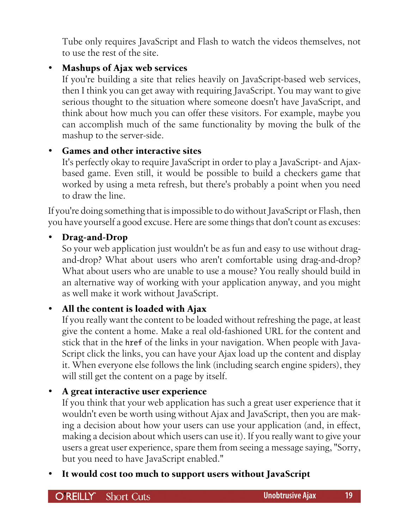Tube only requires JavaScript and Flash to watch the videos themselves, not to use the rest of the site.

# • **Mashups of Ajax web services**

If you're building a site that relies heavily on JavaScript-based web services, then I think you can get away with requiring JavaScript. You may want to give serious thought to the situation where someone doesn't have JavaScript, and think about how much you can offer these visitors. For example, maybe you can accomplish much of the same functionality by moving the bulk of the mashup to the server-side.

# • **Games and other interactive sites**

It's perfectly okay to require JavaScript in order to play a JavaScript- and Ajaxbased game. Even still, it would be possible to build a checkers game that worked by using a meta refresh, but there's probably a point when you need to draw the line.

If you're doing something that is impossible to do without JavaScript or Flash, then you have yourself a good excuse. Here are some things that don't count as excuses:

#### • **Drag-and-Drop**

So your web application just wouldn't be as fun and easy to use without dragand-drop? What about users who aren't comfortable using drag-and-drop? What about users who are unable to use a mouse? You really should build in an alternative way of working with your application anyway, and you might as well make it work without JavaScript.

# • **All the content is loaded with Ajax**

If you really want the content to be loaded without refreshing the page, at least give the content a home. Make a real old-fashioned URL for the content and stick that in the href of the links in your navigation. When people with Java-Script click the links, you can have your Ajax load up the content and display it. When everyone else follows the link (including search engine spiders), they will still get the content on a page by itself.

# • **A great interactive user experience**

If you think that your web application has such a great user experience that it wouldn't even be worth using without Ajax and JavaScript, then you are making a decision about how your users can use your application (and, in effect, making a decision about which users can use it). If you really want to give your users a great user experience, spare them from seeing a message saying, "Sorry, but you need to have JavaScript enabled."

• **It would cost too much to support users without JavaScript**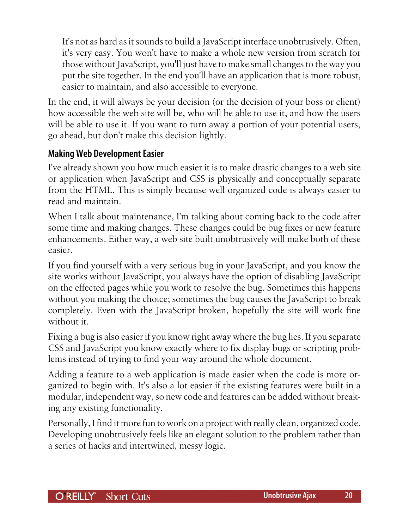It's not as hard as it sounds to build a JavaScript interface unobtrusively. Often, it's very easy. You won't have to make a whole new version from scratch for those without JavaScript, you'll just have to make small changes to the way you put the site together. In the end you'll have an application that is more robust, easier to maintain, and also accessible to everyone.

In the end, it will always be your decision (or the decision of your boss or client) how accessible the web site will be, who will be able to use it, and how the users will be able to use it. If you want to turn away a portion of your potential users, go ahead, but don't make this decision lightly.

# **Making Web Development Easier**

I've already shown you how much easier it is to make drastic changes to a web site or application when JavaScript and CSS is physically and conceptually separate from the HTML. This is simply because well organized code is always easier to read and maintain.

When I talk about maintenance, I'm talking about coming back to the code after some time and making changes. These changes could be bug fixes or new feature enhancements. Either way, a web site built unobtrusively will make both of these easier.

If you find yourself with a very serious bug in your JavaScript, and you know the site works without JavaScript, you always have the option of disabling JavaScript on the effected pages while you work to resolve the bug. Sometimes this happens without you making the choice; sometimes the bug causes the JavaScript to break completely. Even with the JavaScript broken, hopefully the site will work fine without it.

Fixing a bug is also easier if you know right away where the bug lies. If you separate CSS and JavaScript you know exactly where to fix display bugs or scripting problems instead of trying to find your way around the whole document.

Adding a feature to a web application is made easier when the code is more organized to begin with. It's also a lot easier if the existing features were built in a modular, independent way, so new code and features can be added without breaking any existing functionality.

Personally, I find it more fun to work on a project with really clean, organized code. Developing unobtrusively feels like an elegant solution to the problem rather than a series of hacks and intertwined, messy logic.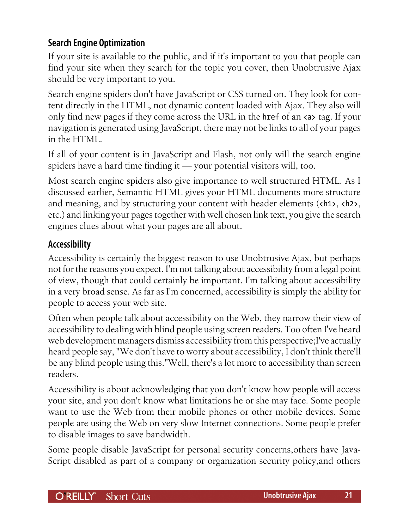# **Search Engine Optimization**

If your site is available to the public, and if it's important to you that people can find your site when they search for the topic you cover, then Unobtrusive Ajax should be very important to you.

Search engine spiders don't have JavaScript or CSS turned on. They look for content directly in the HTML, not dynamic content loaded with Ajax. They also will only find new pages if they come across the URL in the href of an <a> tag. If your navigation is generated using JavaScript, there may not be links to all of your pages in the HTML.

If all of your content is in JavaScript and Flash, not only will the search engine spiders have a hard time finding it — your potential visitors will, too.

Most search engine spiders also give importance to well structured HTML. As I discussed earlier, Semantic HTML gives your HTML documents more structure and meaning, and by structuring your content with header elements (<h1>, <h2>, etc.) and linking your pages together with well chosen link text, you give the search engines clues about what your pages are all about.

# **Accessibility**

Accessibility is certainly the biggest reason to use Unobtrusive Ajax, but perhaps not for the reasons you expect. I'm not talking about accessibility from a legal point of view, though that could certainly be important. I'm talking about accessibility in a very broad sense. As far as I'm concerned, accessibility is simply the ability for people to access your web site.

Often when people talk about accessibility on the Web, they narrow their view of accessibility to dealing with blind people using screen readers. Too often I've heard web development managers dismiss accessibility from this perspective;I've actually heard people say, "We don't have to worry about accessibility, I don't think there'll be any blind people using this."Well, there's a lot more to accessibility than screen readers.

Accessibility is about acknowledging that you don't know how people will access your site, and you don't know what limitations he or she may face. Some people want to use the Web from their mobile phones or other mobile devices. Some people are using the Web on very slow Internet connections. Some people prefer to disable images to save bandwidth.

Some people disable JavaScript for personal security concerns,others have Java-Script disabled as part of a company or organization security policy,and others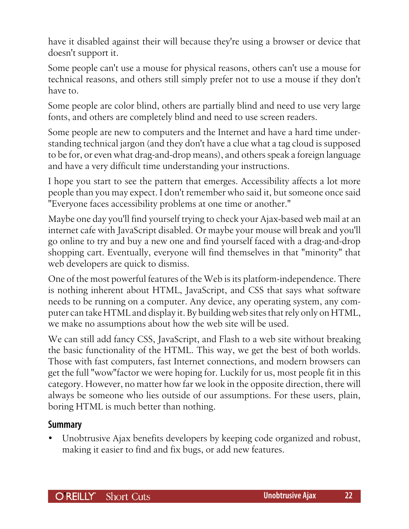have it disabled against their will because they're using a browser or device that doesn't support it.

Some people can't use a mouse for physical reasons, others can't use a mouse for technical reasons, and others still simply prefer not to use a mouse if they don't have to.

Some people are color blind, others are partially blind and need to use very large fonts, and others are completely blind and need to use screen readers.

Some people are new to computers and the Internet and have a hard time understanding technical jargon (and they don't have a clue what a tag cloud is supposed to be for, or even what drag-and-drop means), and others speak a foreign language and have a very difficult time understanding your instructions.

I hope you start to see the pattern that emerges. Accessibility affects a lot more people than you may expect. I don't remember who said it, but someone once said "Everyone faces accessibility problems at one time or another."

Maybe one day you'll find yourself trying to check your Ajax-based web mail at an internet cafe with JavaScript disabled. Or maybe your mouse will break and you'll go online to try and buy a new one and find yourself faced with a drag-and-drop shopping cart. Eventually, everyone will find themselves in that "minority" that web developers are quick to dismiss.

One of the most powerful features of the Web is its platform-independence. There is nothing inherent about HTML, JavaScript, and CSS that says what software needs to be running on a computer. Any device, any operating system, any computer can take HTML and display it. By building web sites that rely only on HTML, we make no assumptions about how the web site will be used.

We can still add fancy CSS, JavaScript, and Flash to a web site without breaking the basic functionality of the HTML. This way, we get the best of both worlds. Those with fast computers, fast Internet connections, and modern browsers can get the full "wow"factor we were hoping for. Luckily for us, most people fit in this category. However, no matter how far we look in the opposite direction, there will always be someone who lies outside of our assumptions. For these users, plain, boring HTML is much better than nothing.

#### **Summary**

• Unobtrusive Ajax benefits developers by keeping code organized and robust, making it easier to find and fix bugs, or add new features.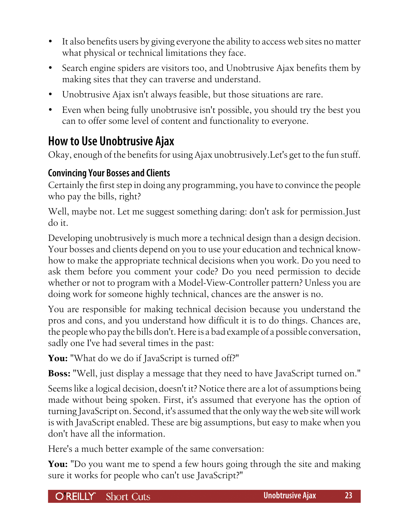- <span id="page-22-0"></span>It also benefits users by giving everyone the ability to access web sites no matter what physical or technical limitations they face.
- Search engine spiders are visitors too, and Unobtrusive Ajax benefits them by making sites that they can traverse and understand.
- Unobtrusive Ajax isn't always feasible, but those situations are rare.
- Even when being fully unobtrusive isn't possible, you should try the best you can to offer some level of content and functionality to everyone.

# **How to Use Unobtrusive Ajax**

Okay, enough of the benefits for using Ajax unobtrusively.Let's get to the fun stuff.

# **Convincing Your Bosses and Clients**

Certainly the first step in doing any programming, you have to convince the people who pay the bills, right?

Well, maybe not. Let me suggest something daring: don't ask for permission.Just do it.

Developing unobtrusively is much more a technical design than a design decision. Your bosses and clients depend on you to use your education and technical knowhow to make the appropriate technical decisions when you work. Do you need to ask them before you comment your code? Do you need permission to decide whether or not to program with a Model-View-Controller pattern? Unless you are doing work for someone highly technical, chances are the answer is no.

You are responsible for making technical decision because you understand the pros and cons, and you understand how difficult it is to do things. Chances are, the people who pay the bills don't. Here is a bad example of a possible conversation, sadly one I've had several times in the past:

You: "What do we do if JavaScript is turned off?"

**Boss:** "Well, just display a message that they need to have JavaScript turned on."

Seems like a logical decision, doesn't it? Notice there are a lot of assumptions being made without being spoken. First, it's assumed that everyone has the option of turning JavaScript on. Second, it's assumed that the only way the web site will work is with JavaScript enabled. These are big assumptions, but easy to make when you don't have all the information.

Here's a much better example of the same conversation:

**You:** "Do you want me to spend a few hours going through the site and making sure it works for people who can't use JavaScript?"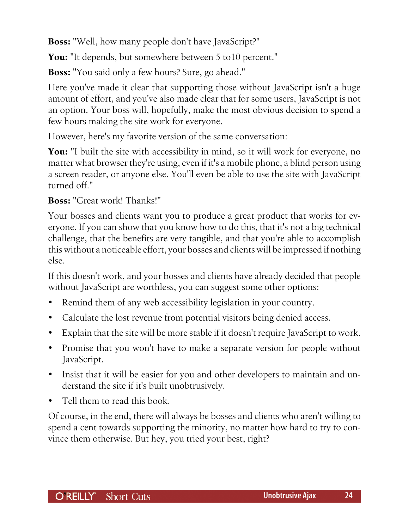**Boss:** "Well, how many people don't have JavaScript?"

You: "It depends, but somewhere between 5 to 10 percent."

**Boss:** "You said only a few hours? Sure, go ahead."

Here you've made it clear that supporting those without JavaScript isn't a huge amount of effort, and you've also made clear that for some users, JavaScript is not an option. Your boss will, hopefully, make the most obvious decision to spend a few hours making the site work for everyone.

However, here's my favorite version of the same conversation:

**You:** "I built the site with accessibility in mind, so it will work for everyone, no matter what browser they're using, even if it's a mobile phone, a blind person using a screen reader, or anyone else. You'll even be able to use the site with JavaScript turned off."

#### **Boss:** "Great work! Thanks!"

Your bosses and clients want you to produce a great product that works for everyone. If you can show that you know how to do this, that it's not a big technical challenge, that the benefits are very tangible, and that you're able to accomplish this without a noticeable effort, your bosses and clients will be impressed if nothing else.

If this doesn't work, and your bosses and clients have already decided that people without JavaScript are worthless, you can suggest some other options:

- Remind them of any web accessibility legislation in your country.
- Calculate the lost revenue from potential visitors being denied access.
- Explain that the site will be more stable if it doesn't require JavaScript to work.
- Promise that you won't have to make a separate version for people without JavaScript.
- Insist that it will be easier for you and other developers to maintain and understand the site if it's built unobtrusively.
- Tell them to read this book.

Of course, in the end, there will always be bosses and clients who aren't willing to spend a cent towards supporting the minority, no matter how hard to try to convince them otherwise. But hey, you tried your best, right?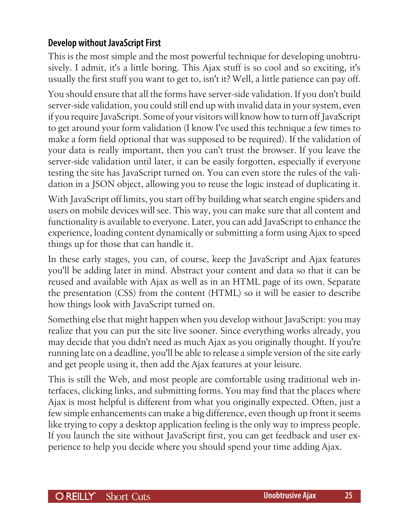# **Develop without JavaScript First**

This is the most simple and the most powerful technique for developing unobtrusively. I admit, it's a little boring. This Ajax stuff is so cool and so exciting, it's usually the first stuff you want to get to, isn't it? Well, a little patience can pay off.

You should ensure that all the forms have server-side validation. If you don't build server-side validation, you could still end up with invalid data in your system, even if you require JavaScript. Some of your visitors will know how to turn off JavaScript to get around your form validation (I know I've used this technique a few times to make a form field optional that was supposed to be required). If the validation of your data is really important, then you can't trust the browser. If you leave the server-side validation until later, it can be easily forgotten, especially if everyone testing the site has JavaScript turned on. You can even store the rules of the validation in a JSON object, allowing you to reuse the logic instead of duplicating it.

With JavaScript off limits, you start off by building what search engine spiders and users on mobile devices will see. This way, you can make sure that all content and functionality is available to everyone. Later, you can add JavaScript to enhance the experience, loading content dynamically or submitting a form using Ajax to speed things up for those that can handle it.

In these early stages, you can, of course, keep the JavaScript and Ajax features you'll be adding later in mind. Abstract your content and data so that it can be reused and available with Ajax as well as in an HTML page of its own. Separate the presentation (CSS) from the content (HTML) so it will be easier to describe how things look with JavaScript turned on.

Something else that might happen when you develop without JavaScript: you may realize that you can put the site live sooner. Since everything works already, you may decide that you didn't need as much Ajax as you originally thought. If you're running late on a deadline, you'll be able to release a simple version of the site early and get people using it, then add the Ajax features at your leisure.

This is still the Web, and most people are comfortable using traditional web interfaces, clicking links, and submitting forms. You may find that the places where Ajax is most helpful is different from what you originally expected. Often, just a few simple enhancements can make a big difference, even though up front it seems like trying to copy a desktop application feeling is the only way to impress people. If you launch the site without JavaScript first, you can get feedback and user experience to help you decide where you should spend your time adding Ajax.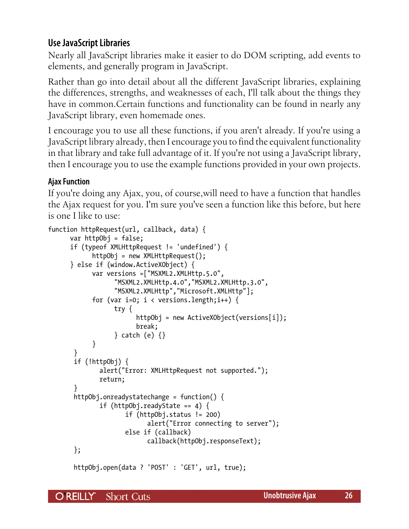# **Use JavaScript Libraries**

Nearly all JavaScript libraries make it easier to do DOM scripting, add events to elements, and generally program in JavaScript.

Rather than go into detail about all the different JavaScript libraries, explaining the differences, strengths, and weaknesses of each, I'll talk about the things they have in common.Certain functions and functionality can be found in nearly any JavaScript library, even homemade ones.

I encourage you to use all these functions, if you aren't already. If you're using a JavaScript library already, then I encourage you to find the equivalent functionality in that library and take full advantage of it. If you're not using a JavaScript library, then I encourage you to use the example functions provided in your own projects.

#### **Ajax Function**

If you're doing any Ajax, you, of course,will need to have a function that handles the Ajax request for you. I'm sure you've seen a function like this before, but here is one I like to use:

```
function httpRequest(url, callback, data) {
       var httpObj = false;
       if (typeof XMLHttpRequest != 'undefined') {
             httpObj = new XMLHttpRequest();
       } else if (window.ActiveXObject) {
             var versions =["MSXML2.XMLHttp.5.0",
                   "MSXML2.XMLHttp.4.0","MSXML2.XMLHttp.3.0",
                   "MSXML2.XMLHttp","Microsoft.XMLHttp"];
            for (var i=0; i \lt versions.length;i++) {
                   try {
                          httpObj = new ActiveXObject(versions[i]);
                          break;
                   } catch (e) {}
 }
        }
        if (!httpObj) {
               alert("Error: XMLHttpRequest not supported.");
               return;
        }
        httpObj.onreadystatechange = function() {
              if (httpObj.readyState == 4) {
                       if (httpObj.status != 200)
                             alert("Error connecting to server");
                      else if (callback)
                             callback(httpObj.responseText);
        };
        httpObj.open(data ? 'POST' : 'GET', url, true);
```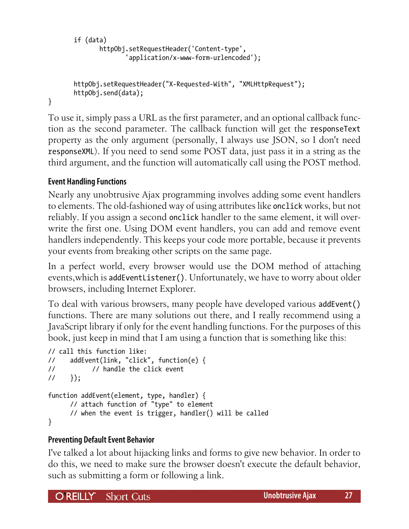```
 if (data)
        httpObj.setRequestHeader('Content-type',
                'application/x-www-form-urlencoded');
 httpObj.setRequestHeader("X-Requested-With", "XMLHttpRequest");
 httpObj.send(data);
```
To use it, simply pass a URL as the first parameter, and an optional callback function as the second parameter. The callback function will get the responseText property as the only argument (personally, I always use JSON, so I don't need responseXML). If you need to send some POST data, just pass it in a string as the third argument, and the function will automatically call using the POST method.

#### **Event Handling Functions**

}

Nearly any unobtrusive Ajax programming involves adding some event handlers to elements. The old-fashioned way of using attributes like onclick works, but not reliably. If you assign a second onclick handler to the same element, it will overwrite the first one. Using DOM event handlers, you can add and remove event handlers independently. This keeps your code more portable, because it prevents your events from breaking other scripts on the same page.

In a perfect world, every browser would use the DOM method of attaching events,which is addEventListener(). Unfortunately, we have to worry about older browsers, including Internet Explorer.

To deal with various browsers, many people have developed various addEvent() functions. There are many solutions out there, and I really recommend using a JavaScript library if only for the event handling functions. For the purposes of this book, just keep in mind that I am using a function that is something like this:

```
// call this function like:
// addEvent(link, "click", function(e) {
// // handle the click event
1/ });
function addEvent(element, type, handler) {
      // attach function of "type" to element
      // when the event is trigger, handler() will be called
}
```
#### **Preventing Default Event Behavior**

I've talked a lot about hijacking links and forms to give new behavior. In order to do this, we need to make sure the browser doesn't execute the default behavior, such as submitting a form or following a link.

O'REILLY' Short Cuts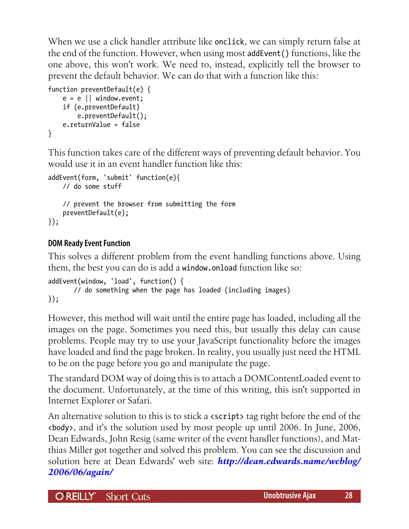When we use a click handler attribute like onclick, we can simply return false at the end of the function. However, when using most addEvent() functions, like the one above, this won't work. We need to, instead, explicitly tell the browser to prevent the default behavior. We can do that with a function like this:

```
function preventDefault(e) {
    e = e \mid \mid window.event;
     if (e.preventDefault)
         e.preventDefault();
     e.returnValue = false
}
```
This function takes care of the different ways of preventing default behavior. You would use it in an event handler function like this:

```
addEvent(form, 'submit' function(e){
     // do some stuff
     // prevent the browser from submitting the form
     preventDefault(e);
});
```
#### **DOM Ready Event Function**

This solves a different problem from the event handling functions above. Using them, the best you can do is add a window.onload function like so:

```
addEvent(window, 'load', function() {
        // do something when the page has loaded (including images)
});
```
However, this method will wait until the entire page has loaded, including all the images on the page. Sometimes you need this, but usually this delay can cause problems. People may try to use your JavaScript functionality before the images have loaded and find the page broken. In reality, you usually just need the HTML to be on the page before you go and manipulate the page.

The standard DOM way of doing this is to attach a DOMContentLoaded event to the document. Unfortunately, at the time of this writing, this isn't supported in Internet Explorer or Safari.

An alternative solution to this is to stick a **<script>** tag right before the end of the <body>, and it's the solution used by most people up until 2006. In June, 2006, Dean Edwards, John Resig (same writer of the event handler functions), and Matthias Miller got together and solved this problem. You can see the discussion and solution here at Dean Edwards' web site: *[http://dean.edwards.name/weblog/](http://dean.edwards.name/weblog/2006/06/again/) [2006/06/again/](http://dean.edwards.name/weblog/2006/06/again/)*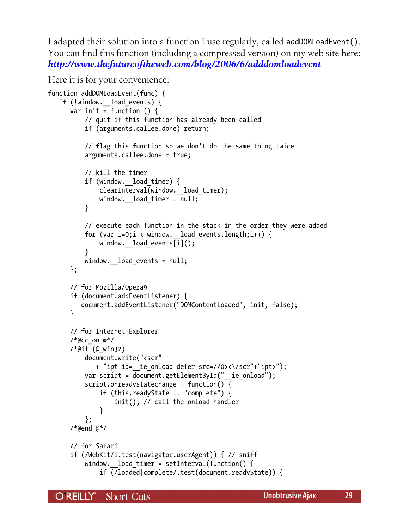I adapted their solution into a function I use regularly, called addDOMLoadEvent(). You can find this function (including a compressed version) on my web site here: *<http://www.thefutureoftheweb.com/blog/2006/6/adddomloadevent>*

Here it is for your convenience:

```
function addDOMLoadEvent(func) {
    if (!window.__load_events) {
      var init = function () {
           // quit if this function has already been called
           if (arguments.callee.done) return;
           // flag this function so we don't do the same thing twice
           arguments.callee.done = true;
           // kill the timer
          if (window. load timer) {
               clearInterval(window.__load_timer);
              window. load timer = null;
 }
           // execute each function in the stack in the order they were added
          for (var i=0;i < window. load events.length;i++) {
              window. load events[i]();
 }
          window. load events = null;
       };
       // for Mozilla/Opera9
       if (document.addEventListener) {
          document.addEventListener("DOMContentLoaded", init, false);
       }
       // for Internet Explorer
      /*@cc on @*/ /*@if (@_win32)
           document.write("<scr"
              + "ipt id=__ie_onload defer src=//0><\/scr"+"ipt>");
          var script = document.getElementById(" ie onload");
           script.onreadystatechange = function() {
               if (this.readyState == "complete") {
                   init(); // call the onload handler
 }
           };
       /*@end @*/
       // for Safari
       if (/WebKit/i.test(navigator.userAgent)) { // sniff
          window. load timer = setInterval(function() {
               if (/loaded|complete/.test(document.readyState)) {
```
O REILLY" **Short Cuts**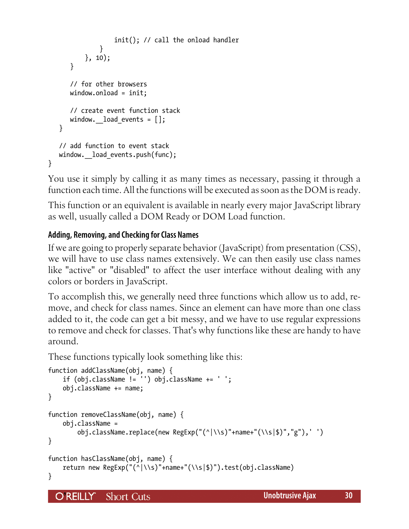```
 init(); // call the onload handler
 }
          }, 10);
       }
       // for other browsers
       window.onload = init;
       // create event function stack
      window. load events = [];
    }
    // add function to event stack
   window. load events.push(func);
}
```
You use it simply by calling it as many times as necessary, passing it through a function each time. All the functions will be executed as soon as the DOM is ready.

This function or an equivalent is available in nearly every major JavaScript library as well, usually called a DOM Ready or DOM Load function.

#### **Adding, Removing, and Checking for Class Names**

If we are going to properly separate behavior (JavaScript) from presentation (CSS), we will have to use class names extensively. We can then easily use class names like "active" or "disabled" to affect the user interface without dealing with any colors or borders in JavaScript.

To accomplish this, we generally need three functions which allow us to add, remove, and check for class names. Since an element can have more than one class added to it, the code can get a bit messy, and we have to use regular expressions to remove and check for classes. That's why functions like these are handy to have around.

These functions typically look something like this:

```
function addClassName(obj, name) {
     if (obj.className != '') obj.className += ' ';
     obj.className += name;
}
function removeClassName(obj, name) {
     obj.className =
         obj.className.replace(new RegExp("(^|\\s)"+name+"(\\s|$)","g"),' ')
}
function hasClassName(obj, name) {
     return new RegExp("(^|\\s)"+name+"(\\s|$)").test(obj.className)
}
```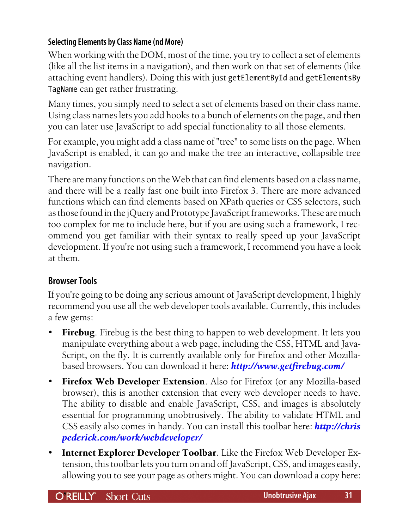#### **Selecting Elements by Class Name (nd More)**

When working with the DOM, most of the time, you try to collect a set of elements (like all the list items in a navigation), and then work on that set of elements (like attaching event handlers). Doing this with just getElementById and getElementsBy TagName can get rather frustrating.

Many times, you simply need to select a set of elements based on their class name. Using class names lets you add hooks to a bunch of elements on the page, and then you can later use JavaScript to add special functionality to all those elements.

For example, you might add a class name of "tree" to some lists on the page. When JavaScript is enabled, it can go and make the tree an interactive, collapsible tree navigation.

There are many functions on the Web that can find elements based on a class name, and there will be a really fast one built into Firefox 3. There are more advanced functions which can find elements based on XPath queries or CSS selectors, such as those found in the jQuery and Prototype JavaScript frameworks. These are much too complex for me to include here, but if you are using such a framework, I recommend you get familiar with their syntax to really speed up your JavaScript development. If you're not using such a framework, I recommend you have a look at them.

# **Browser Tools**

If you're going to be doing any serious amount of JavaScript development, I highly recommend you use all the web developer tools available. Currently, this includes a few gems:

- **Firebug.** Firebug is the best thing to happen to web development. It lets you manipulate everything about a web page, including the CSS, HTML and Java-Script, on the fly. It is currently available only for Firefox and other Mozillabased browsers. You can download it here: *<http://www.getfirebug.com/>*
- **Firefox Web Developer Extension**. Also for Firefox (or any Mozilla-based browser), this is another extension that every web developer needs to have. The ability to disable and enable JavaScript, CSS, and images is absolutely essential for programming unobtrusively. The ability to validate HTML and CSS easily also comes in handy. You can install this toolbar here: *[http://chris](http://chrispederick.com/work/webdeveloper/) [pederick.com/work/webdeveloper/](http://chrispederick.com/work/webdeveloper/)*
- **Internet Explorer Developer Toolbar**. Like the Firefox Web Developer Extension, this toolbar lets you turn on and off JavaScript, CSS, and images easily, allowing you to see your page as others might. You can download a copy here: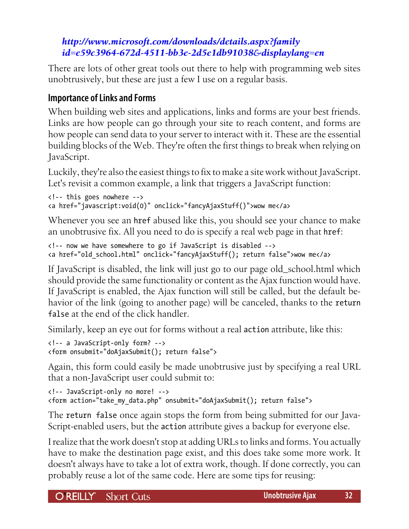# *[http://www.microsoft.com/downloads/details.aspx?family](http://www.microsoft.com/downloads/details.aspx?familyid=e59c3964-672d-4511-bb3e-2d5e1db91038&displaylang=en) [id=e59c3964-672d-4511-bb3e-2d5e1db91038&displaylang=en](http://www.microsoft.com/downloads/details.aspx?familyid=e59c3964-672d-4511-bb3e-2d5e1db91038&displaylang=en)*

There are lots of other great tools out there to help with programming web sites unobtrusively, but these are just a few I use on a regular basis.

# **Importance of Links and Forms**

When building web sites and applications, links and forms are your best friends. Links are how people can go through your site to reach content, and forms are how people can send data to your server to interact with it. These are the essential building blocks of the Web. They're often the first things to break when relying on JavaScript.

Luckily, they're also the easiest things to fix to make a site work without JavaScript. Let's revisit a common example, a link that triggers a JavaScript function:

```
<!-- this goes nowhere -->
<a href="javascript:void(0)" onclick="fancyAjaxStuff()">wow me</a>
```
Whenever you see an href abused like this, you should see your chance to make an unobtrusive fix. All you need to do is specify a real web page in that href:

```
<!-- now we have somewhere to go if JavaScript is disabled -->
<a href="old_school.html" onclick="fancyAjaxStuff(); return false">wow me</a>
```
If JavaScript is disabled, the link will just go to our page old\_school.html which should provide the same functionality or content as the Ajax function would have. If JavaScript is enabled, the Ajax function will still be called, but the default behavior of the link (going to another page) will be canceled, thanks to the return false at the end of the click handler.

Similarly, keep an eye out for forms without a real action attribute, like this:

```
<!-- a JavaScript-only form? -->
<form onsubmit="doAjaxSubmit(); return false">
```
Again, this form could easily be made unobtrusive just by specifying a real URL that a non-JavaScript user could submit to:

```
<!-- JavaScript-only no more! -->
<form action="take_my_data.php" onsubmit="doAjaxSubmit(); return false">
```
The return false once again stops the form from being submitted for our Java-Script-enabled users, but the action attribute gives a backup for everyone else.

I realize that the work doesn't stop at adding URLs to links and forms. You actually have to make the destination page exist, and this does take some more work. It doesn't always have to take a lot of extra work, though. If done correctly, you can probably reuse a lot of the same code. Here are some tips for reusing:

O'REILLY' Short Cuts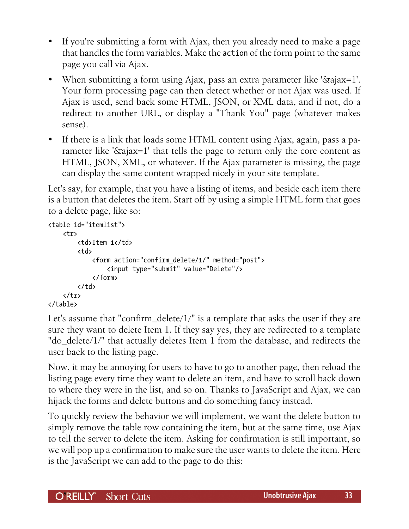- If you're submitting a form with Ajax, then you already need to make a page that handles the form variables. Make the action of the form point to the same page you call via Ajax.
- When submitting a form using Ajax, pass an extra parameter like '&ajax=1'. Your form processing page can then detect whether or not Ajax was used. If Ajax is used, send back some HTML, JSON, or XML data, and if not, do a redirect to another URL, or display a "Thank You" page (whatever makes sense).
- If there is a link that loads some HTML content using Ajax, again, pass a parameter like '&ajax=1' that tells the page to return only the core content as HTML, JSON, XML, or whatever. If the Ajax parameter is missing, the page can display the same content wrapped nicely in your site template.

Let's say, for example, that you have a listing of items, and beside each item there is a button that deletes the item. Start off by using a simple HTML form that goes to a delete page, like so:

```
<table id="itemlist">
     <tr>
          <td>Item 1</td>
          <td>
              <form action="confirm_delete/1/" method="post">
                   <input type="submit" value="Delete"/>
              </form>
          </td>
    \langle/tr>
</table>
```
Let's assume that "confirm\_delete/1/" is a template that asks the user if they are sure they want to delete Item 1. If they say yes, they are redirected to a template "do\_delete/1/" that actually deletes Item 1 from the database, and redirects the user back to the listing page.

Now, it may be annoying for users to have to go to another page, then reload the listing page every time they want to delete an item, and have to scroll back down to where they were in the list, and so on. Thanks to JavaScript and Ajax, we can hijack the forms and delete buttons and do something fancy instead.

To quickly review the behavior we will implement, we want the delete button to simply remove the table row containing the item, but at the same time, use Ajax to tell the server to delete the item. Asking for confirmation is still important, so we will pop up a confirmation to make sure the user wants to delete the item. Here is the JavaScript we can add to the page to do this: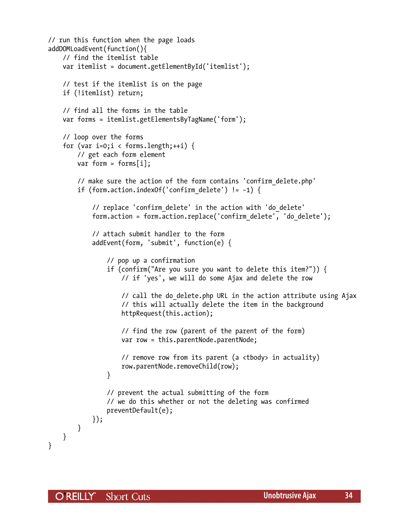```
// run this function when the page loads
addDOMLoadEvent(function(){
     // find the itemlist table
     var itemlist = document.getElementById('itemlist');
     // test if the itemlist is on the page
     if (!itemlist) return;
     // find all the forms in the table
     var forms = itemlist.getElementsByTagName('form');
     // loop over the forms
    for (var i=0;i \langle forms.length;++i) {
         // get each form element
        var form = forms[i];
         // make sure the action of the form contains 'confirm_delete.php'
         if (form.action.indexOf('confirm_delete') != −1) {
             // replace 'confirm_delete' in the action with 'do_delete'
             form.action = form.action.replace('confirm_delete', 'do_delete');
             // attach submit handler to the form
             addEvent(form, 'submit', function(e) {
                 // pop up a confirmation
                 if (confirm("Are you sure you want to delete this item?")) {
                     // if 'yes', we will do some Ajax and delete the row
                    // call the do delete.php URL in the action attribute using Ajax
                     // this will actually delete the item in the background
                     httpRequest(this.action);
                     // find the row (parent of the parent of the form)
                     var row = this.parentNode.parentNode;
                     // remove row from its parent (a <tbody> in actuality)
                     row.parentNode.removeChild(row);
 }
                 // prevent the actual submitting of the form
                 // we do this whether or not the deleting was confirmed
                 preventDefault(e);
             });
        }
     }
}
```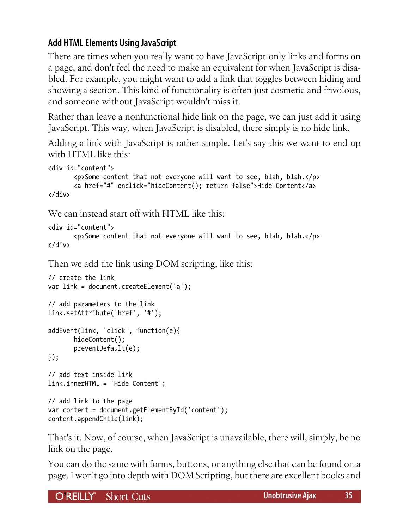# **Add HTML Elements Using JavaScript**

There are times when you really want to have JavaScript-only links and forms on a page, and don't feel the need to make an equivalent for when JavaScript is disabled. For example, you might want to add a link that toggles between hiding and showing a section. This kind of functionality is often just cosmetic and frivolous, and someone without JavaScript wouldn't miss it.

Rather than leave a nonfunctional hide link on the page, we can just add it using JavaScript. This way, when JavaScript is disabled, there simply is no hide link.

Adding a link with JavaScript is rather simple. Let's say this we want to end up with HTML like this:

```
<div id="content">
        <p>Some content that not everyone will want to see, blah, blah.</p>
        <a href="#" onclick="hideContent(); return false">Hide Content</a>
</div>
```
We can instead start off with HTML like this:

```
<div id="content">
        <p>Some content that not everyone will want to see, blah, blah.</p>
</div>
```
Then we add the link using DOM scripting, like this:

```
// create the link
var link = document.createElement('a');
// add parameters to the link
link.setAttribute('href', '#');
addEvent(link, 'click', function(e){
        hideContent();
        preventDefault(e);
});
// add text inside link
link.innerHTML = 'Hide Content';
// add link to the page
var content = document.getElementById('content');
content.appendChild(link);
```
That's it. Now, of course, when JavaScript is unavailable, there will, simply, be no link on the page.

You can do the same with forms, buttons, or anything else that can be found on a page. I won't go into depth with DOM Scripting, but there are excellent books and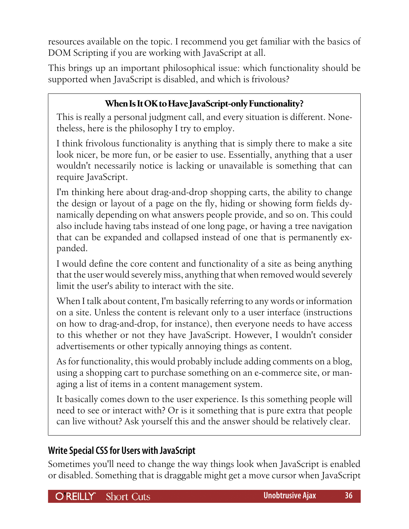resources available on the topic. I recommend you get familiar with the basics of DOM Scripting if you are working with JavaScript at all.

This brings up an important philosophical issue: which functionality should be supported when JavaScript is disabled, and which is frivolous?

# **When Is It OK to Have JavaScript-only Functionality?**

This is really a personal judgment call, and every situation is different. Nonetheless, here is the philosophy I try to employ.

I think frivolous functionality is anything that is simply there to make a site look nicer, be more fun, or be easier to use. Essentially, anything that a user wouldn't necessarily notice is lacking or unavailable is something that can require JavaScript.

I'm thinking here about drag-and-drop shopping carts, the ability to change the design or layout of a page on the fly, hiding or showing form fields dynamically depending on what answers people provide, and so on. This could also include having tabs instead of one long page, or having a tree navigation that can be expanded and collapsed instead of one that is permanently expanded.

I would define the core content and functionality of a site as being anything that the user would severely miss, anything that when removed would severely limit the user's ability to interact with the site.

When I talk about content, I'm basically referring to any words or information on a site. Unless the content is relevant only to a user interface (instructions on how to drag-and-drop, for instance), then everyone needs to have access to this whether or not they have JavaScript. However, I wouldn't consider advertisements or other typically annoying things as content.

As for functionality, this would probably include adding comments on a blog, using a shopping cart to purchase something on an e-commerce site, or managing a list of items in a content management system.

It basically comes down to the user experience. Is this something people will need to see or interact with? Or is it something that is pure extra that people can live without? Ask yourself this and the answer should be relatively clear.

# **Write Special CSS for Users with JavaScript**

Sometimes you'll need to change the way things look when JavaScript is enabled or disabled. Something that is draggable might get a move cursor when JavaScript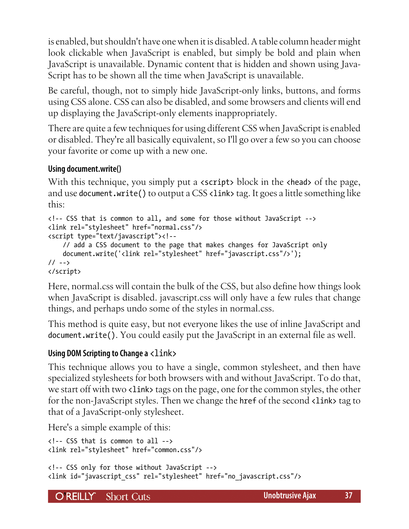is enabled, but shouldn't have one when it is disabled. A table column header might look clickable when JavaScript is enabled, but simply be bold and plain when JavaScript is unavailable. Dynamic content that is hidden and shown using Java-Script has to be shown all the time when JavaScript is unavailable.

Be careful, though, not to simply hide JavaScript-only links, buttons, and forms using CSS alone. CSS can also be disabled, and some browsers and clients will end up displaying the JavaScript-only elements inappropriately.

There are quite a few techniques for using different CSS when JavaScript is enabled or disabled. They're all basically equivalent, so I'll go over a few so you can choose your favorite or come up with a new one.

# **Using document.write()**

With this technique, you simply put a **secript** block in the **shead** of the page, and use document.write() to output a CSS <link> tag. It goes a little something like this:

```
<!-- CSS that is common to all, and some for those without JavaScript -->
<link rel="stylesheet" href="normal.css"/>
<script type="text/javascript"><!--
     // add a CSS document to the page that makes changes for JavaScript only
     document.write('<link rel="stylesheet" href="javascript.css"/>');
// -->
</script>
```
Here, normal.css will contain the bulk of the CSS, but also define how things look when JavaScript is disabled. javascript.css will only have a few rules that change things, and perhaps undo some of the styles in normal.css.

This method is quite easy, but not everyone likes the use of inline JavaScript and document.write(). You could easily put the JavaScript in an external file as well.

#### **Using DOM Scripting to Change a**  $\langle$ **link>**

This technique allows you to have a single, common stylesheet, and then have specialized stylesheets for both browsers with and without JavaScript. To do that, we start off with two <link> tags on the page, one for the common styles, the other for the non-JavaScript styles. Then we change the href of the second <link> tag to that of a JavaScript-only stylesheet.

Here's a simple example of this:

```
<!-- CSS that is common to all -->
<link rel="stylesheet" href="common.css"/>
```

```
<!-- CSS only for those without JavaScript -->
<link id="javascript_css" rel="stylesheet" href="no_javascript.css"/>
```
**OREILLY** Short Cuts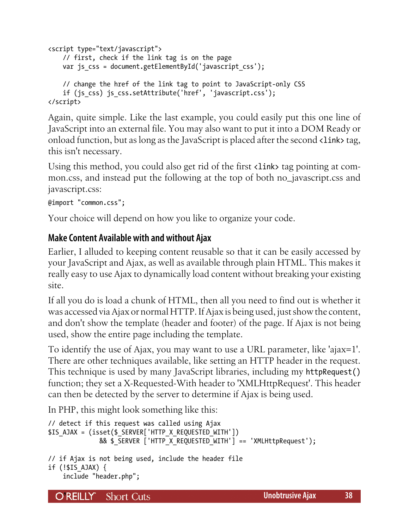```
<script type="text/javascript">
     // first, check if the link tag is on the page
    var js css = document.getElementById('javascript_css');
     // change the href of the link tag to point to JavaScript-only CSS
    if (js css) js css.setAttribute('href', 'javascript.css');
</script>
```
Again, quite simple. Like the last example, you could easily put this one line of JavaScript into an external file. You may also want to put it into a DOM Ready or onload function, but as long as the JavaScript is placed after the second  $\langle$ link> tag, this isn't necessary.

Using this method, you could also get rid of the first <link> tag pointing at common.css, and instead put the following at the top of both no\_javascript.css and javascript.css:

```
@import "common.css";
```
Your choice will depend on how you like to organize your code.

# **Make Content Available with and without Ajax**

Earlier, I alluded to keeping content reusable so that it can be easily accessed by your JavaScript and Ajax, as well as available through plain HTML. This makes it really easy to use Ajax to dynamically load content without breaking your existing site.

If all you do is load a chunk of HTML, then all you need to find out is whether it was accessed via Ajax or normal HTTP. If Ajax is being used, just show the content, and don't show the template (header and footer) of the page. If Ajax is not being used, show the entire page including the template.

To identify the use of Ajax, you may want to use a URL parameter, like 'ajax=1'. There are other techniques available, like setting an HTTP header in the request. This technique is used by many JavaScript libraries, including my httpRequest() function; they set a X-Requested-With header to 'XMLHttpRequest'. This header can then be detected by the server to determine if Ajax is being used.

In PHP, this might look something like this:

```
// detect if this request was called using Ajax
$IS_AJAX = (isset($_SERVER['HTTP_X_REQUESTED_WITH'])
               && $_SERVER ['HTTP_X_REQUESTED_WITH'] == 'XMLHttpRequest');
```

```
// if Ajax is not being used, include the header file
if (!$IS AJAX) {
     include "header.php";
```
O REILLY" **Short Cuts**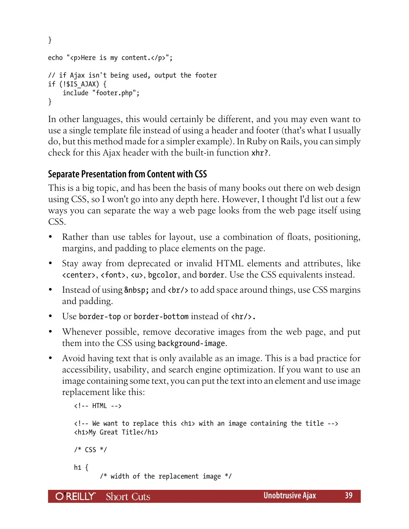```
}
echo "<p>Here is my content.</p>";
// if Ajax isn't being used, output the footer
if (!$IS_AJAX) {
     include "footer.php";
}
```
In other languages, this would certainly be different, and you may even want to use a single template file instead of using a header and footer (that's what I usually do, but this method made for a simpler example). In Ruby on Rails, you can simply check for this Ajax header with the built-in function xhr?.

# **Separate Presentation from Content with CSS**

This is a big topic, and has been the basis of many books out there on web design using CSS, so I won't go into any depth here. However, I thought I'd list out a few ways you can separate the way a web page looks from the web page itself using CSS.

- Rather than use tables for layout, use a combination of floats, positioning, margins, and padding to place elements on the page.
- Stay away from deprecated or invalid HTML elements and attributes, like <center>, <font>, <u>, bgcolor, and border. Use the CSS equivalents instead.
- Instead of using and <br/>kbr/> to add space around things, use CSS margins and padding.
- Use border-top or border-bottom instead of  $\langle h r \rangle$ .
- Whenever possible, remove decorative images from the web page, and put them into the CSS using background-image.
- Avoid having text that is only available as an image. This is a bad practice for accessibility, usability, and search engine optimization. If you want to use an image containing some text, you can put the text into an element and use image replacement like this:

```
<!-- HTML -->
<!-- We want to replace this <h1> with an image containing the title -->
<h1>My Great Title</h1>
/* CSS */
h1 \{ /* width of the replacement image */
```
O REILLY" **Short Cuts**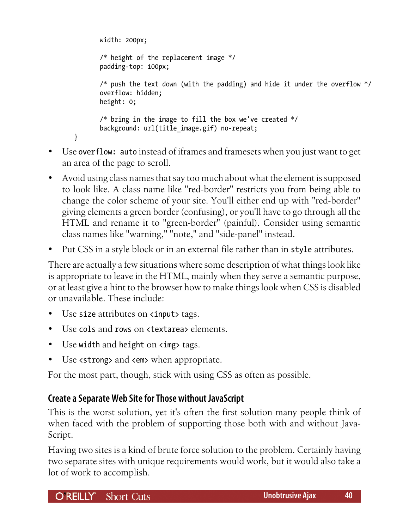```
 width: 200px;
        /* height of the replacement image */
        padding-top: 100px;
        /* push the text down (with the padding) and hide it under the overflow */
        overflow: hidden;
        height: 0;
        /* bring in the image to fill the box we've created */
       background: url(title image.gif) no-repeat;
}
```
- Use overflow: auto instead of iframes and framesets when you just want to get an area of the page to scroll.
- Avoid using class names that say too much about what the element is supposed to look like. A class name like "red-border" restricts you from being able to change the color scheme of your site. You'll either end up with "red-border" giving elements a green border (confusing), or you'll have to go through all the HTML and rename it to "green-border" (painful). Consider using semantic class names like "warning," "note," and "side-panel" instead.
- Put CSS in a style block or in an external file rather than in style attributes.

There are actually a few situations where some description of what things look like is appropriate to leave in the HTML, mainly when they serve a semantic purpose, or at least give a hint to the browser how to make things look when CSS is disabled or unavailable. These include:

- Use size attributes on **sinput** tags.
- Use cols and rows on <textarea> elements.
- Use width and height on  $\langle$ img tags.
- Use <strong> and <em> when appropriate.

For the most part, though, stick with using CSS as often as possible.

# **Create a Separate Web Site for Those without JavaScript**

This is the worst solution, yet it's often the first solution many people think of when faced with the problem of supporting those both with and without Java-Script.

Having two sites is a kind of brute force solution to the problem. Certainly having two separate sites with unique requirements would work, but it would also take a lot of work to accomplish.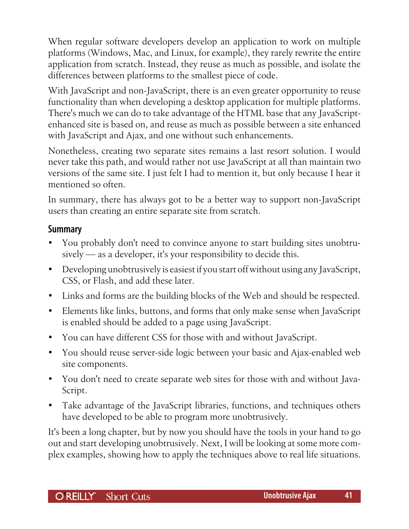When regular software developers develop an application to work on multiple platforms (Windows, Mac, and Linux, for example), they rarely rewrite the entire application from scratch. Instead, they reuse as much as possible, and isolate the differences between platforms to the smallest piece of code.

With JavaScript and non-JavaScript, there is an even greater opportunity to reuse functionality than when developing a desktop application for multiple platforms. There's much we can do to take advantage of the HTML base that any JavaScriptenhanced site is based on, and reuse as much as possible between a site enhanced with JavaScript and Ajax, and one without such enhancements.

Nonetheless, creating two separate sites remains a last resort solution. I would never take this path, and would rather not use JavaScript at all than maintain two versions of the same site. I just felt I had to mention it, but only because I hear it mentioned so often.

In summary, there has always got to be a better way to support non-JavaScript users than creating an entire separate site from scratch.

#### **Summary**

- You probably don't need to convince anyone to start building sites unobtrusively — as a developer, it's your responsibility to decide this.
- Developing unobtrusively is easiest if you start off without using any JavaScript, CSS, or Flash, and add these later.
- Links and forms are the building blocks of the Web and should be respected.
- Elements like links, buttons, and forms that only make sense when JavaScript is enabled should be added to a page using JavaScript.
- You can have different CSS for those with and without JavaScript.
- You should reuse server-side logic between your basic and Ajax-enabled web site components.
- You don't need to create separate web sites for those with and without Java-Script.
- Take advantage of the JavaScript libraries, functions, and techniques others have developed to be able to program more unobtrusively.

It's been a long chapter, but by now you should have the tools in your hand to go out and start developing unobtrusively. Next, I will be looking at some more complex examples, showing how to apply the techniques above to real life situations.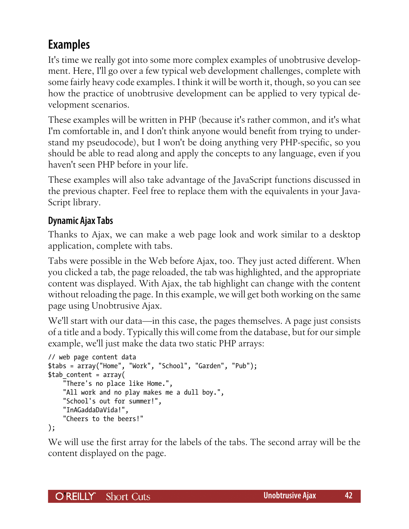# <span id="page-41-0"></span>**Examples**

It's time we really got into some more complex examples of unobtrusive development. Here, I'll go over a few typical web development challenges, complete with some fairly heavy code examples. I think it will be worth it, though, so you can see how the practice of unobtrusive development can be applied to very typical development scenarios.

These examples will be written in PHP (because it's rather common, and it's what I'm comfortable in, and I don't think anyone would benefit from trying to understand my pseudocode), but I won't be doing anything very PHP-specific, so you should be able to read along and apply the concepts to any language, even if you haven't seen PHP before in your life.

These examples will also take advantage of the JavaScript functions discussed in the previous chapter. Feel free to replace them with the equivalents in your Java-Script library.

# **Dynamic Ajax Tabs**

Thanks to Ajax, we can make a web page look and work similar to a desktop application, complete with tabs.

Tabs were possible in the Web before Ajax, too. They just acted different. When you clicked a tab, the page reloaded, the tab was highlighted, and the appropriate content was displayed. With Ajax, the tab highlight can change with the content without reloading the page. In this example, we will get both working on the same page using Unobtrusive Ajax.

We'll start with our data—in this case, the pages themselves. A page just consists of a title and a body. Typically this will come from the database, but for our simple example, we'll just make the data two static PHP arrays:

```
// web page content data
$tabs = array("Home", "Work", "School", "Garden", "Pub");
$tab_content = array(
     "There's no place like Home.",
    "All work and no play makes me a dull boy.",
     "School's out for summer!",
     "InAGaddaDaVida!",
     "Cheers to the beers!"
);
```
We will use the first array for the labels of the tabs. The second array will be the content displayed on the page.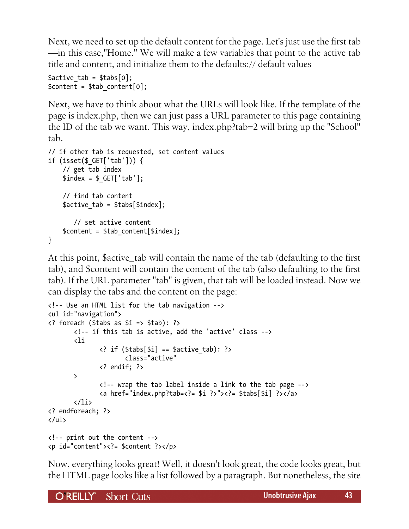Next, we need to set up the default content for the page. Let's just use the first tab —in this case,"Home." We will make a few variables that point to the active tab title and content, and initialize them to the defaults:// default values

```
$active tab = $task[0];$content = $tab content[0];
```
Next, we have to think about what the URLs will look like. If the template of the page is index.php, then we can just pass a URL parameter to this page containing the ID of the tab we want. This way, index.php?tab=2 will bring up the "School" tab.

```
// if other tab is requested, set content values
if (isset($_GET['tab'])) {
     // get tab index
    $index = $ GET['tab']; // find tab content
    $active tab = $tasks[$index]; // set active content
     $content = $tab_content[$index];
}
```
At this point, \$active\_tab will contain the name of the tab (defaulting to the first tab), and \$content will contain the content of the tab (also defaulting to the first tab). If the URL parameter "tab" is given, that tab will be loaded instead. Now we can display the tabs and the content on the page:

```
<!-- Use an HTML list for the tab navigation -->
<ul id="navigation">
<? foreach ($tabs as $i => $tab): ?>
        <!-- if this tab is active, add the 'active' class -->
        <li
              \langle? if ($tabs[$i] == $active tab): ?>
                       class="active"
               <? endif; ?>
        >
               <!-- wrap the tab label inside a link to the tab page -->
               <a href="index.php?tab=<?= $i ?>"><?= $tabs[$i] ?></a>
       \langle/li>
<? endforeach; ?>
</ul>
<!-- print out the content -->
<p id="content"><?= $content ?></p>
```
Now, everything looks great! Well, it doesn't look great, the code looks great, but the HTML page looks like a list followed by a paragraph. But nonetheless, the site

**OREILLY** Short Cuts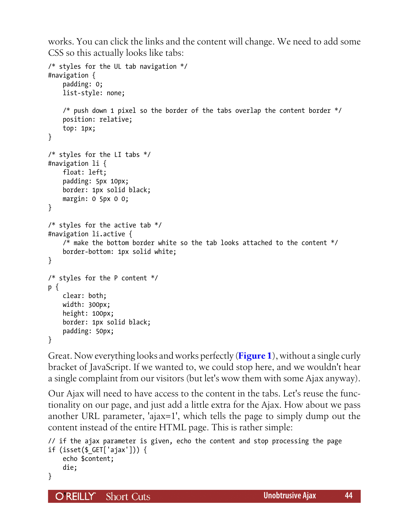works. You can click the links and the content will change. We need to add some CSS so this actually looks like tabs:

```
/* styles for the UL tab navigation */
#navigation {
     padding: 0;
     list-style: none;
    /* push down 1 pixel so the border of the tabs overlap the content border */ position: relative;
     top: 1px;
}
/* styles for the LI tabs */
#navigation li {
     float: left;
     padding: 5px 10px;
     border: 1px solid black;
     margin: 0 5px 0 0;
}
/* styles for the active tab */#navigation li.active {
    /* make the bottom border white so the tab looks attached to the content */ border-bottom: 1px solid white;
}
/* styles for the P content */
p {
     clear: both;
     width: 300px;
     height: 100px;
     border: 1px solid black;
     padding: 50px;
}
```
Great. Now everything looks and works perfectly (**[Figure 1](#page-44-0)**), without a single curly bracket of JavaScript. If we wanted to, we could stop here, and we wouldn't hear a single complaint from our visitors (but let's wow them with some Ajax anyway).

Our Ajax will need to have access to the content in the tabs. Let's reuse the functionality on our page, and just add a little extra for the Ajax. How about we pass another URL parameter, 'ajax=1', which tells the page to simply dump out the content instead of the entire HTML page. This is rather simple:

```
// if the ajax parameter is given, echo the content and stop processing the page
if (isset($_GET['ajax'])) {
     echo $content;
     die;
}
```
O REILLY" **Short Cuts**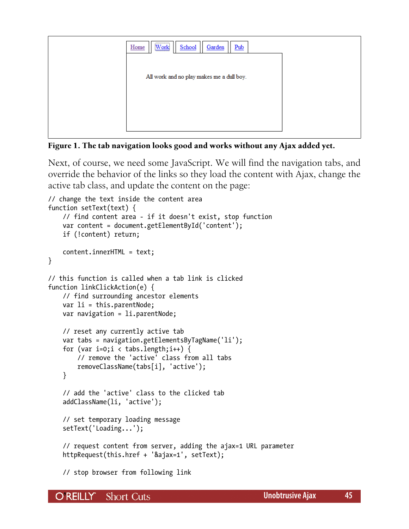<span id="page-44-0"></span>

| All work and no play makes me a dull boy. | <br>$Pub$<br>School<br>Garden<br>Work<br>Home |  |
|-------------------------------------------|-----------------------------------------------|--|
|                                           |                                               |  |
|                                           |                                               |  |
|                                           |                                               |  |
|                                           |                                               |  |

**Figure 1. The tab navigation looks good and works without any Ajax added yet.**

Next, of course, we need some JavaScript. We will find the navigation tabs, and override the behavior of the links so they load the content with Ajax, change the active tab class, and update the content on the page:

```
// change the text inside the content area
function setText(text) {
     // find content area - if it doesn't exist, stop function
     var content = document.getElementById('content');
     if (!content) return;
     content.innerHTML = text;
}
// this function is called when a tab link is clicked
function linkClickAction(e) {
     // find surrounding ancestor elements
     var li = this.parentNode;
    var navigation = li.parentNode;
     // reset any currently active tab
     var tabs = navigation.getElementsByTagName('li');
    for (var i=0;i \langle tabs.length;i++) {
         // remove the 'active' class from all tabs
         removeClassName(tabs[i], 'active');
     }
     // add the 'active' class to the clicked tab
     addClassName(li, 'active');
     // set temporary loading message
     setText('Loading...');
     // request content from server, adding the ajax=1 URL parameter
     httpRequest(this.href + '&ajax=1', setText);
```
// stop browser from following link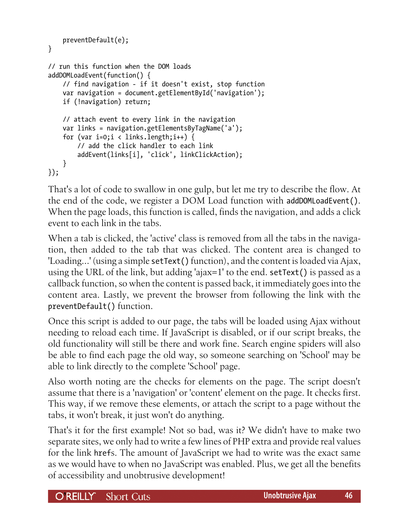```
 preventDefault(e);
}
// run this function when the DOM loads
addDOMLoadEvent(function() {
     // find navigation - if it doesn't exist, stop function
     var navigation = document.getElementById('navigation');
     if (!navigation) return;
     // attach event to every link in the navigation
     var links = navigation.getElementsByTagName('a');
    for (var i=0; i < links.length;i++) {
         // add the click handler to each link
         addEvent(links[i], 'click', linkClickAction);
     }
});
```
That's a lot of code to swallow in one gulp, but let me try to describe the flow. At the end of the code, we register a DOM Load function with addDOMLoadEvent(). When the page loads, this function is called, finds the navigation, and adds a click event to each link in the tabs.

When a tab is clicked, the 'active' class is removed from all the tabs in the navigation, then added to the tab that was clicked. The content area is changed to 'Loading...' (using a simple setText() function), and the content is loaded via Ajax, using the URL of the link, but adding 'ajax=1' to the end. setText() is passed as a callback function, so when the content is passed back, it immediately goes into the content area. Lastly, we prevent the browser from following the link with the preventDefault() function.

Once this script is added to our page, the tabs will be loaded using Ajax without needing to reload each time. If JavaScript is disabled, or if our script breaks, the old functionality will still be there and work fine. Search engine spiders will also be able to find each page the old way, so someone searching on 'School' may be able to link directly to the complete 'School' page.

Also worth noting are the checks for elements on the page. The script doesn't assume that there is a 'navigation' or 'content' element on the page. It checks first. This way, if we remove these elements, or attach the script to a page without the tabs, it won't break, it just won't do anything.

That's it for the first example! Not so bad, was it? We didn't have to make two separate sites, we only had to write a few lines of PHP extra and provide real values for the link hrefs. The amount of JavaScript we had to write was the exact same as we would have to when no JavaScript was enabled. Plus, we get all the benefits of accessibility and unobtrusive development!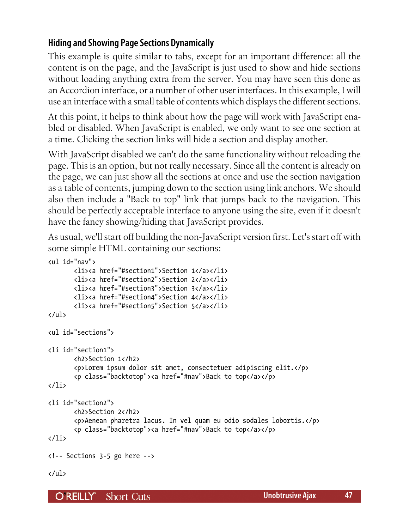# **Hiding and Showing Page Sections Dynamically**

This example is quite similar to tabs, except for an important difference: all the content is on the page, and the JavaScript is just used to show and hide sections without loading anything extra from the server. You may have seen this done as an Accordion interface, or a number of other user interfaces. In this example, I will use an interface with a small table of contents which displays the different sections.

At this point, it helps to think about how the page will work with JavaScript enabled or disabled. When JavaScript is enabled, we only want to see one section at a time. Clicking the section links will hide a section and display another.

With JavaScript disabled we can't do the same functionality without reloading the page. This is an option, but not really necessary. Since all the content is already on the page, we can just show all the sections at once and use the section navigation as a table of contents, jumping down to the section using link anchors. We should also then include a "Back to top" link that jumps back to the navigation. This should be perfectly acceptable interface to anyone using the site, even if it doesn't have the fancy showing/hiding that JavaScript provides.

As usual, we'll start off building the non-JavaScript version first. Let's start off with some simple HTML containing our sections:

```
<ul id="nav">
        <li><a href="#section1">Section 1</a></li>
        <li><a href="#section2">Section 2</a></li>
        <li><a href="#section3">Section 3</a></li>
        <li><a href="#section4">Section 4</a></li>
        <li><a href="#section5">Section 5</a></li>
\langle/ul>
<ul id="sections">
<li id="section1">
        <h2>Section 1</h2>
        <p>Lorem ipsum dolor sit amet, consectetuer adipiscing elit.</p>
        <p class="backtotop"><a href="#nav">Back to top</a></p>
</li>
<li id="section2">
        <h2>Section 2</h2>
        <p>Aenean pharetra lacus. In vel quam eu odio sodales lobortis.</p>
        <p class="backtotop"><a href="#nav">Back to top</a></p>
</li>
<!-- Sections 3-5 go here -->
</ul>
```
**OREILLY** Short Cuts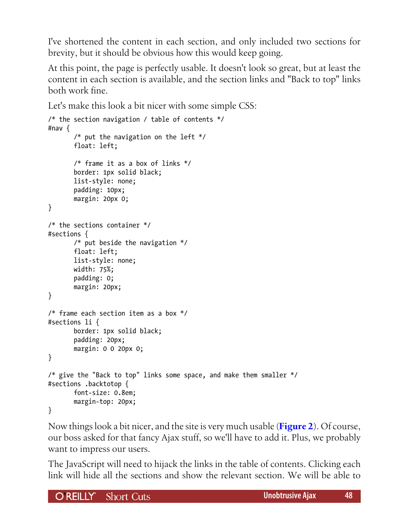I've shortened the content in each section, and only included two sections for brevity, but it should be obvious how this would keep going.

At this point, the page is perfectly usable. It doesn't look so great, but at least the content in each section is available, and the section links and "Back to top" links both work fine.

Let's make this look a bit nicer with some simple CSS:

```
/* the section navigation / table of contents */
#nav {
        /* put the navigation on the left */
        float: left;
        /* frame it as a box of links */
        border: 1px solid black;
        list-style: none;
        padding: 10px;
        margin: 20px 0;
}
/* the sections container */
#sections {
        /* put beside the navigation */
        float: left;
        list-style: none;
        width: 75%;
        padding: 0;
        margin: 20px;
}
/* frame each section item as a box */
#sections li {
        border: 1px solid black;
        padding: 20px;
        margin: 0 0 20px 0;
}
/* give the "Back to top" links some space, and make them smaller */#sections .backtotop {
        font-size: 0.8em;
        margin-top: 20px;
}
```
Now things look a bit nicer, and the site is very much usable (**[Figure 2](#page-48-0)**). Of course, our boss asked for that fancy Ajax stuff, so we'll have to add it. Plus, we probably want to impress our users.

The JavaScript will need to hijack the links in the table of contents. Clicking each link will hide all the sections and show the relevant section. We will be able to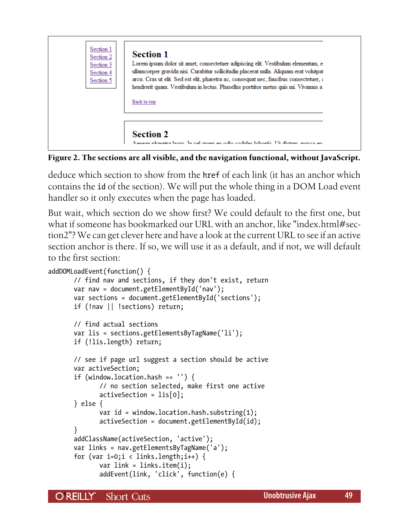<span id="page-48-0"></span>

**Figure 2. The sections are all visible, and the navigation functional, without JavaScript.**

deduce which section to show from the href of each link (it has an anchor which contains the id of the section). We will put the whole thing in a DOM Load event handler so it only executes when the page has loaded.

But wait, which section do we show first? We could default to the first one, but what if someone has bookmarked our URL with an anchor, like "index.html#section2"? We can get clever here and have a look at the current URL to see if an active section anchor is there. If so, we will use it as a default, and if not, we will default to the first section:

```
addDOMLoadEvent(function() {
        // find nav and sections, if they don't exist, return
        var nav = document.getElementById('nav');
        var sections = document.getElementById('sections');
        if (!nav || !sections) return;
        // find actual sections
        var lis = sections.getElementsByTagName('li');
        if (!lis.length) return;
        // see if page url suggest a section should be active
        var activeSection;
        if (window.location.hash == '') {
               // no section selected, make first one active
               activeSection = lis[0];
        } else {
               var id = window.location.hash.substring(1);
               activeSection = document.getElementById(id);
        }
        addClassName(activeSection, 'active');
        var links = nav.getElementsByTagName('a');
       for (var i=0;i \langle links.length;i++) {
              var link = links.item(i);
               addEvent(link, 'click', function(e) {
```
**O'REILLY** Short Cuts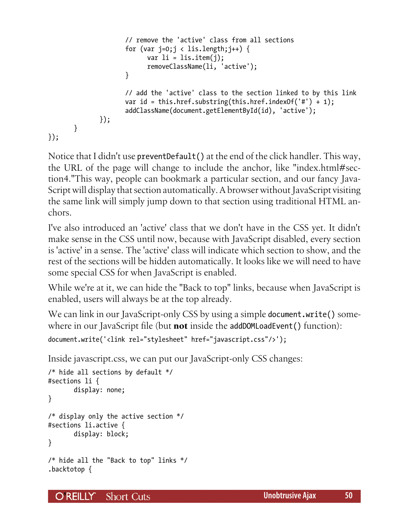```
 // remove the 'active' class from all sections
                    for (var j=0;j < lis.length;j++) {
                          var li = lis.item(i);
                           removeClassName(li, 'active');
 }
                     // add the 'active' class to the section linked to by this link
                     var id = this.href.substring(this.href.indexOf('#') + 1);
                     addClassName(document.getElementById(id), 'active');
              });
       }
});
```
Notice that I didn't use preventDefault() at the end of the click handler. This way, the URL of the page will change to include the anchor, like "index.html#section4."This way, people can bookmark a particular section, and our fancy Java-Script will display that section automatically. A browser without JavaScript visiting the same link will simply jump down to that section using traditional HTML anchors.

I've also introduced an 'active' class that we don't have in the CSS yet. It didn't make sense in the CSS until now, because with JavaScript disabled, every section is 'active' in a sense. The 'active' class will indicate which section to show, and the rest of the sections will be hidden automatically. It looks like we will need to have some special CSS for when JavaScript is enabled.

While we're at it, we can hide the "Back to top" links, because when JavaScript is enabled, users will always be at the top already.

We can link in our JavaScript-only CSS by using a simple document.write() somewhere in our JavaScript file (but **not** inside the addDOMLoadEvent() function):

```
document.write('<link rel="stylesheet" href="javascript.css"/>');
```
Inside javascript.css, we can put our JavaScript-only CSS changes:

```
/* hide all sections by default */
#sections li {
        display: none;
}
/* display only the active section */
#sections li.active {
        display: block;
}
/* hide all the "Back to top" links */
.backtotop {
```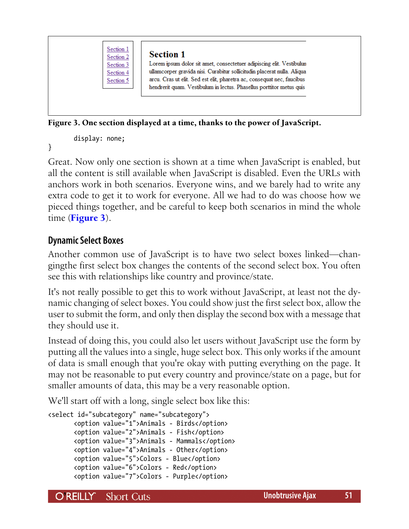

#### **Section 1**

Lorem ipsum dolor sit amet, consectetuer adipiscing elit. Vestibulun ullamcorper gravida nisi. Curabitur sollicitudin placerat nulla. Aliqua arcu. Cras ut elit. Sed est elit, pharetra ac, consequat nec, faucibus hendrerit quam. Vestibulum in lectus. Phasellus porttitor metus quis

#### **Figure 3. One section displayed at a time, thanks to the power of JavaScript.**

display: none;

}

Great. Now only one section is shown at a time when JavaScript is enabled, but all the content is still available when JavaScript is disabled. Even the URLs with anchors work in both scenarios. Everyone wins, and we barely had to write any extra code to get it to work for everyone. All we had to do was choose how we pieced things together, and be careful to keep both scenarios in mind the whole time (**Figure 3**).

# **Dynamic Select Boxes**

Another common use of JavaScript is to have two select boxes linked—changingthe first select box changes the contents of the second select box. You often see this with relationships like country and province/state.

It's not really possible to get this to work without JavaScript, at least not the dynamic changing of select boxes. You could show just the first select box, allow the user to submit the form, and only then display the second box with a message that they should use it.

Instead of doing this, you could also let users without JavaScript use the form by putting all the values into a single, huge select box. This only works if the amount of data is small enough that you're okay with putting everything on the page. It may not be reasonable to put every country and province/state on a page, but for smaller amounts of data, this may be a very reasonable option.

We'll start off with a long, single select box like this:

```
<select id="subcategory" name="subcategory">
        <option value="1">Animals - Birds</option>
        <option value="2">Animals - Fish</option>
        <option value="3">Animals - Mammals</option>
        <option value="4">Animals - Other</option>
        <option value="5">Colors - Blue</option>
        <option value="6">Colors - Red</option>
        <option value="7">Colors - Purple</option>
```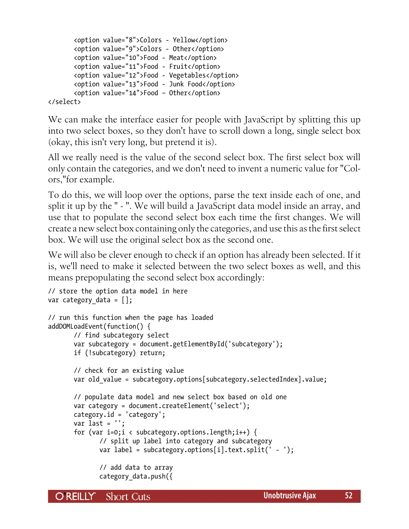```
 <option value="8">Colors - Yellow</option>
 <option value="9">Colors - Other</option>
 <option value="10">Food - Meat</option>
 <option value="11">Food - Fruit</option>
 <option value="12">Food - Vegetables</option>
 <option value="13">Food - Junk Food</option>
 <option value="14">Food – Other</option>
```
</select>

We can make the interface easier for people with JavaScript by splitting this up into two select boxes, so they don't have to scroll down a long, single select box (okay, this isn't very long, but pretend it is).

All we really need is the value of the second select box. The first select box will only contain the categories, and we don't need to invent a numeric value for "Colors,"for example.

To do this, we will loop over the options, parse the text inside each of one, and split it up by the " - ". We will build a JavaScript data model inside an array, and use that to populate the second select box each time the first changes. We will create a new select box containing only the categories, and use this as the first select box. We will use the original select box as the second one.

We will also be clever enough to check if an option has already been selected. If it is, we'll need to make it selected between the two select boxes as well, and this means prepopulating the second select box accordingly:

```
// store the option data model in here
var category_data = [];
// run this function when the page has loaded
addDOMLoadEvent(function() {
        // find subcategory select
        var subcategory = document.getElementById('subcategory');
        if (!subcategory) return;
        // check for an existing value
       var old value = subcategory.options[subcategory.selectedIndex].value;
        // populate data model and new select box based on old one
        var category = document.createElement('select');
        category.id = 'category';
        var last = '';
        for (var i=0;i < subcategory.options.length;i++) {
               // split up label into category and subcategory
               var label = subcategory.options[i].text.split(' - ');
               // add data to array
               category_data.push({
```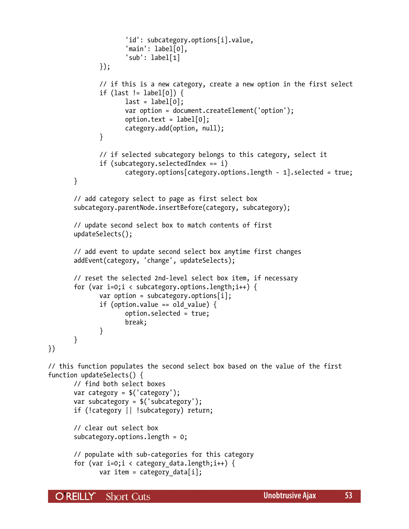```
 'id': subcategory.options[i].value,
                      'main': label[0],
                      'sub': label[1]
               });
               // if this is a new category, create a new option in the first select
               if (last != label[0]) {
                     last = label[0]; var option = document.createElement('option');
                     option.text = label[0]; category.add(option, null);
 }
               // if selected subcategory belongs to this category, select it
               if (subcategory.selectedIndex == i)
                      category.options[category.options.length - 1].selected = true;
        }
        // add category select to page as first select box
        subcategory.parentNode.insertBefore(category, subcategory);
        // update second select box to match contents of first
        updateSelects();
        // add event to update second select box anytime first changes
        addEvent(category, 'change', updateSelects);
        // reset the selected 2nd-level select box item, if necessary
        for (var i=0;i < subcategory.options.length;i++) {
              var option = subcategory.options[i];
               if (option.value == old_value) {
                      option.selected = true;
                      break;
 }
        }
})
// this function populates the second select box based on the value of the first
function updateSelects() {
        // find both select boxes
        var category = $('category');
        var subcategory = $('subcategory');
        if (!category || !subcategory) return;
        // clear out select box
        subcategory.options.length = 0;
        // populate with sub-categories for this category
       for (var i=0;i < category data.length;i++) {
              var item = category data[i];
```
O REILLY" **Short Cuts**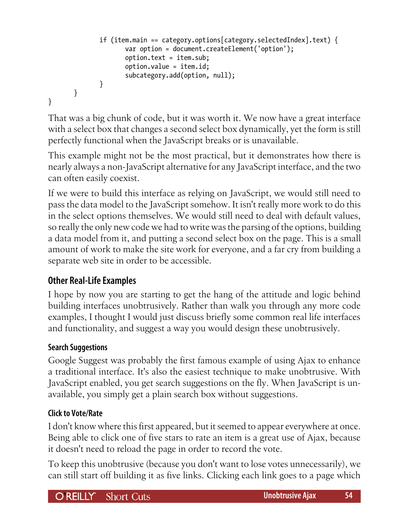```
 if (item.main == category.options[category.selectedIndex].text) {
                     var option = document.createElement('option');
                     option.text = item.sub;
                     option.value = item.id;
                     subcategory.add(option, null);
 }
       }
}
```
That was a big chunk of code, but it was worth it. We now have a great interface with a select box that changes a second select box dynamically, yet the form is still perfectly functional when the JavaScript breaks or is unavailable.

This example might not be the most practical, but it demonstrates how there is nearly always a non-JavaScript alternative for any JavaScript interface, and the two can often easily coexist.

If we were to build this interface as relying on JavaScript, we would still need to pass the data model to the JavaScript somehow. It isn't really more work to do this in the select options themselves. We would still need to deal with default values, so really the only new code we had to write was the parsing of the options, building a data model from it, and putting a second select box on the page. This is a small amount of work to make the site work for everyone, and a far cry from building a separate web site in order to be accessible.

# **Other Real-Life Examples**

I hope by now you are starting to get the hang of the attitude and logic behind building interfaces unobtrusively. Rather than walk you through any more code examples, I thought I would just discuss briefly some common real life interfaces and functionality, and suggest a way you would design these unobtrusively.

#### **Search Suggestions**

Google Suggest was probably the first famous example of using Ajax to enhance a traditional interface. It's also the easiest technique to make unobtrusive. With JavaScript enabled, you get search suggestions on the fly. When JavaScript is unavailable, you simply get a plain search box without suggestions.

#### **Click to Vote/Rate**

I don't know where this first appeared, but it seemed to appear everywhere at once. Being able to click one of five stars to rate an item is a great use of Ajax, because it doesn't need to reload the page in order to record the vote.

To keep this unobtrusive (because you don't want to lose votes unnecessarily), we can still start off building it as five links. Clicking each link goes to a page which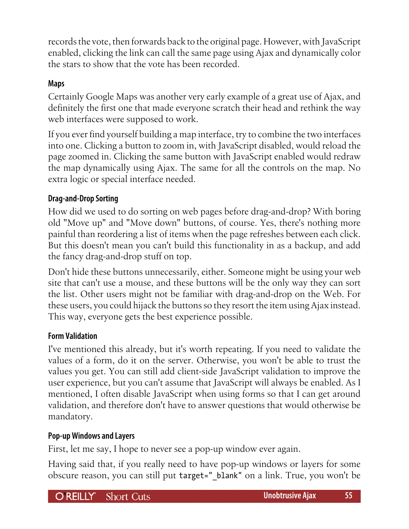records the vote, then forwards back to the original page. However, with JavaScript enabled, clicking the link can call the same page using Ajax and dynamically color the stars to show that the vote has been recorded.

#### **Maps**

Certainly Google Maps was another very early example of a great use of Ajax, and definitely the first one that made everyone scratch their head and rethink the way web interfaces were supposed to work.

If you ever find yourself building a map interface, try to combine the two interfaces into one. Clicking a button to zoom in, with JavaScript disabled, would reload the page zoomed in. Clicking the same button with JavaScript enabled would redraw the map dynamically using Ajax. The same for all the controls on the map. No extra logic or special interface needed.

#### **Drag-and-Drop Sorting**

How did we used to do sorting on web pages before drag-and-drop? With boring old "Move up" and "Move down" buttons, of course. Yes, there's nothing more painful than reordering a list of items when the page refreshes between each click. But this doesn't mean you can't build this functionality in as a backup, and add the fancy drag-and-drop stuff on top.

Don't hide these buttons unnecessarily, either. Someone might be using your web site that can't use a mouse, and these buttons will be the only way they can sort the list. Other users might not be familiar with drag-and-drop on the Web. For these users, you could hijack the buttons so they resort the item using Ajax instead. This way, everyone gets the best experience possible.

#### **Form Validation**

I've mentioned this already, but it's worth repeating. If you need to validate the values of a form, do it on the server. Otherwise, you won't be able to trust the values you get. You can still add client-side JavaScript validation to improve the user experience, but you can't assume that JavaScript will always be enabled. As I mentioned, I often disable JavaScript when using forms so that I can get around validation, and therefore don't have to answer questions that would otherwise be mandatory.

#### **Pop-up Windows and Layers**

First, let me say, I hope to never see a pop-up window ever again.

Having said that, if you really need to have pop-up windows or layers for some obscure reason, you can still put target="\_blank" on a link. True, you won't be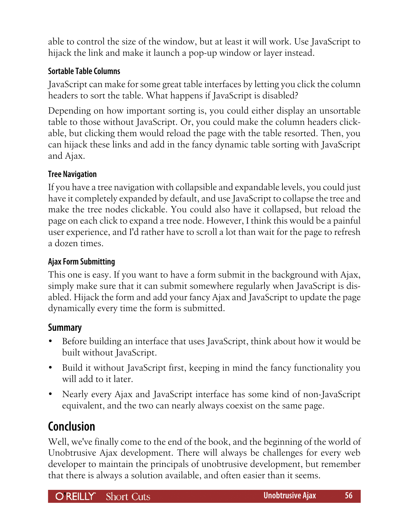<span id="page-55-0"></span>able to control the size of the window, but at least it will work. Use JavaScript to hijack the link and make it launch a pop-up window or layer instead.

# **Sortable Table Columns**

JavaScript can make for some great table interfaces by letting you click the column headers to sort the table. What happens if JavaScript is disabled?

Depending on how important sorting is, you could either display an unsortable table to those without JavaScript. Or, you could make the column headers clickable, but clicking them would reload the page with the table resorted. Then, you can hijack these links and add in the fancy dynamic table sorting with JavaScript and Ajax.

#### **Tree Navigation**

If you have a tree navigation with collapsible and expandable levels, you could just have it completely expanded by default, and use JavaScript to collapse the tree and make the tree nodes clickable. You could also have it collapsed, but reload the page on each click to expand a tree node. However, I think this would be a painful user experience, and I'd rather have to scroll a lot than wait for the page to refresh a dozen times.

#### **Ajax Form Submitting**

This one is easy. If you want to have a form submit in the background with Ajax, simply make sure that it can submit somewhere regularly when JavaScript is disabled. Hijack the form and add your fancy Ajax and JavaScript to update the page dynamically every time the form is submitted.

# **Summary**

- Before building an interface that uses JavaScript, think about how it would be built without JavaScript.
- Build it without JavaScript first, keeping in mind the fancy functionality you will add to it later.
- Nearly every Ajax and JavaScript interface has some kind of non-JavaScript equivalent, and the two can nearly always coexist on the same page.

# **Conclusion**

Well, we've finally come to the end of the book, and the beginning of the world of Unobtrusive Ajax development. There will always be challenges for every web developer to maintain the principals of unobtrusive development, but remember that there is always a solution available, and often easier than it seems.